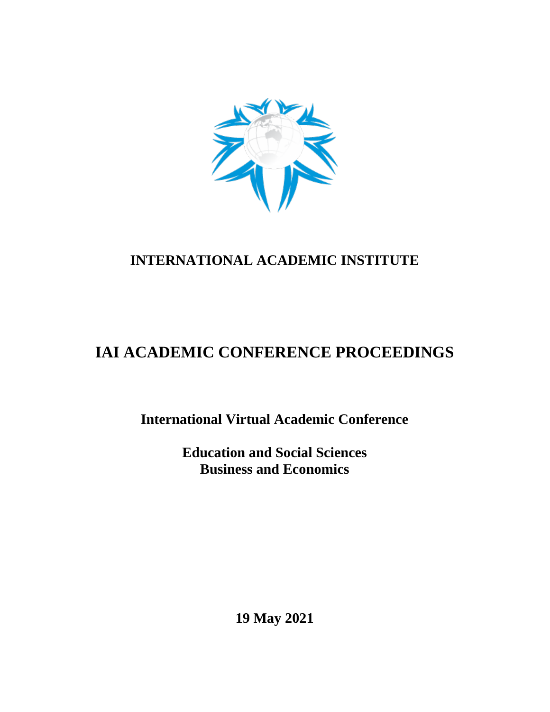

# **INTERNATIONAL ACADEMIC INSTITUTE**

# **IAI ACADEMIC CONFERENCE PROCEEDINGS**

**International Virtual Academic Conference**

**Education and Social Sciences Business and Economics**

**19 May 2021**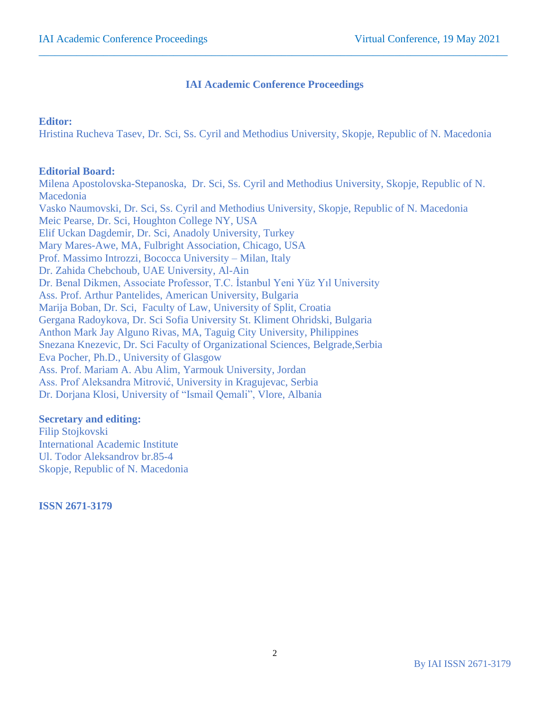## **IAI Academic Conference Proceedings**

 $\_$  , and the set of the set of the set of the set of the set of the set of the set of the set of the set of the set of the set of the set of the set of the set of the set of the set of the set of the set of the set of th

## **Editor:**

Hristina Rucheva Tasev, Dr. Sci, Ss. Cyril and Methodius University, Skopje, Republic of N. Macedonia

## **Editorial Board:**

Milena Apostolovska-Stepanoska, Dr. Sci, Ss. Cyril and Methodius University, Skopje, Republic of N. Macedonia Vasko Naumovski, Dr. Sci, Ss. Cyril and Methodius University, Skopje, Republic of N. Macedonia Meic Pearse, Dr. Sci, Houghton College NY, USA Elif Uckan Dagdemir, Dr. Sci, Anadoly University, Turkey Mary Mares-Awe, MA, Fulbright Association, Chicago, USA Prof. Massimo Introzzi, Bococca University – Milan, Italy Dr. Zahida Chebchoub, UAE University, Al-Ain Dr. Benal Dikmen, Associate Professor, T.C. İstanbul Yeni Yüz Yıl University Ass. Prof. Arthur Pantelides, American University, Bulgaria Marija Boban, Dr. Sci, Faculty of Law, University of Split, Croatia Gergana Radoykova, Dr. Sci Sofia University St. Kliment Ohridski, Bulgaria Anthon Mark Jay Alguno Rivas, MA, Taguig City University, Philippines Snezana Knezevic, Dr. Sci Faculty of Organizational Sciences, Belgrade,Serbia Eva Pocher, Ph.D., University of Glasgow Ass. Prof. Mariam A. Abu Alim, Yarmouk University, Jordan Ass. Prof Aleksandra Mitrović, University in Kragujevac, Serbia Dr. Dorjana Klosi, University of "Ismail Qemali", Vlore, Albania

## **Secretary and editing:**

Filip Stojkovski International Academic Institute Ul. Todor Aleksandrov br.85-4 Skopje, Republic of N. Macedonia

**ISSN 2671-3179**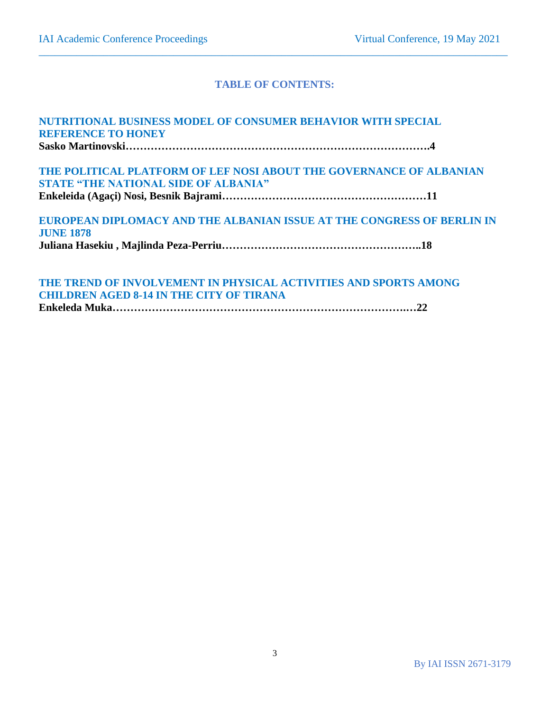### **TABLE OF CONTENTS:**

 $\_$  , and the set of the set of the set of the set of the set of the set of the set of the set of the set of the set of the set of the set of the set of the set of the set of the set of the set of the set of the set of th

| NUTRITIONAL BUSINESS MODEL OF CONSUMER BEHAVIOR WITH SPECIAL           |  |
|------------------------------------------------------------------------|--|
| <b>REFERENCE TO HONEY</b>                                              |  |
|                                                                        |  |
| THE POLITICAL PLATFORM OF LEF NOSI ABOUT THE GOVERNANCE OF ALBANIAN    |  |
| <b>STATE "THE NATIONAL SIDE OF ALBANIA"</b>                            |  |
|                                                                        |  |
| EUROPEAN DIPLOMACY AND THE ALBANIAN ISSUE AT THE CONGRESS OF BERLIN IN |  |
| <b>JUNE 1878</b>                                                       |  |
|                                                                        |  |
|                                                                        |  |
| THE TREND OF INVOLVEMENT IN PHYSICAL ACTIVITIES AND SPORTS AMONG       |  |

ENT IN PHYSICAL ACTIVITIES AND SPORTS AMONG **CHILDREN AGED 8-14 IN THE CITY OF TIRANA**

**Enkeleda Muka……………………………………………………………………….…22**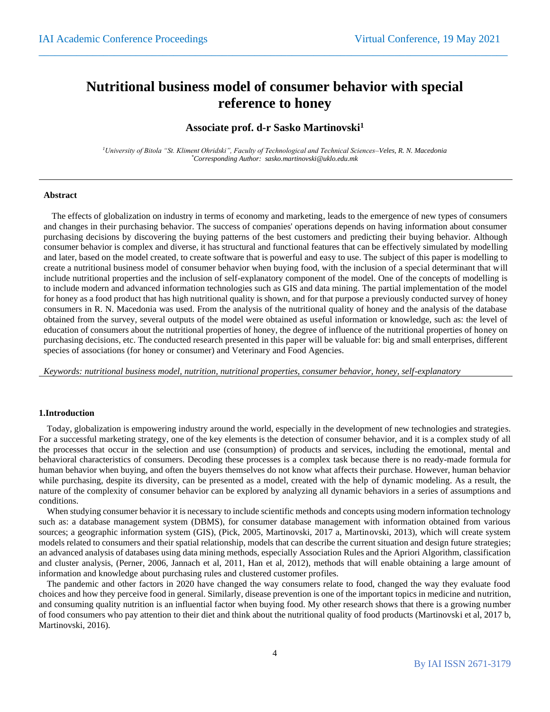## **Nutritional business model of consumer behavior with special reference to honey**

 $\_$  , and the set of the set of the set of the set of the set of the set of the set of the set of the set of the set of the set of the set of the set of the set of the set of the set of the set of the set of the set of th

### **Associate prof. d-r Sasko Martinovski<sup>1</sup>**

*<sup>1</sup>University of Bitola "St. Kliment Ohridski", Faculty of Technological and Technical Sciences–Veles, R. N. Macedonia \*Corresponding Author: sasko.martinovski@uklo.edu.mk*

#### **Abstract**

The effects of globalization on industry in terms of economy and marketing, leads to the emergence of new types of consumers and changes in their purchasing behavior. The success of companies' operations depends on having information about consumer purchasing decisions by discovering the buying patterns of the best customers and predicting their buying behavior. Although consumer behavior is complex and diverse, it has structural and functional features that can be effectively simulated by modelling and later, based on the model created, to create software that is powerful and easy to use. The subject of this paper is modelling to create a nutritional business model of consumer behavior when buying food, with the inclusion of a special determinant that will include nutritional properties and the inclusion of self-explanatory component of the model. One of the concepts of modelling is to include modern and advanced information technologies such as GIS and data mining. The partial implementation of the model for honey as a food product that has high nutritional quality is shown, and for that purpose a previously conducted survey of honey consumers in R. N. Macedonia was used. From the analysis of the nutritional quality of honey and the analysis of the database obtained from the survey, several outputs of the model were obtained as useful information or knowledge, such as: the level of education of consumers about the nutritional properties of honey, the degree of influence of the nutritional properties of honey on purchasing decisions, etc. The conducted research presented in this paper will be valuable for: big and small enterprises, different species of associations (for honey or consumer) and Veterinary and Food Agencies.

*Keywords: nutritional business model, nutrition, nutritional properties, consumer behavior, honey, self-explanatory*

#### **1.Introduction**

Today, globalization is empowering industry around the world, especially in the development of new technologies and strategies. For a successful marketing strategy, one of the key elements is the detection of consumer behavior, and it is a complex study of all the processes that occur in the selection and use (consumption) of products and services, including the emotional, mental and behavioral characteristics of consumers. Decoding these processes is a complex task because there is no ready-made formula for human behavior when buying, and often the buyers themselves do not know what affects their purchase. However, human behavior while purchasing, despite its diversity, can be presented as a model, created with the help of dynamic modeling. As a result, the nature of the complexity of consumer behavior can be explored by analyzing all dynamic behaviors in a series of assumptions and conditions.

When studying consumer behavior it is necessary to include scientific methods and concepts using modern information technology such as: a database management system (DBMS), for consumer database management with information obtained from various sources; a geographic information system (GIS), (Pick, 2005, Martinovski, 2017 a, Martinovski, 2013), which will create system models related to consumers and their spatial relationship, models that can describe the current situation and design future strategies; an advanced analysis of databases using data mining methods, especially Association Rules and the Apriori Algorithm, classification and cluster analysis, (Perner, 2006, Jannach et al, 2011, Han et al, 2012), methods that will enable obtaining a large amount of information and knowledge about purchasing rules and clustered customer profiles.

The pandemic and other factors in 2020 have changed the way consumers relate to food, changed the way they evaluate food choices and how they perceive food in general. Similarly, disease prevention is one of the important topics in medicine and nutrition, and consuming quality nutrition is an influential factor when buying food. My other research shows that there is a growing number of food consumers who pay attention to their diet and think about the nutritional quality of food products (Martinovski et al, 2017 b, Martinovski, 2016).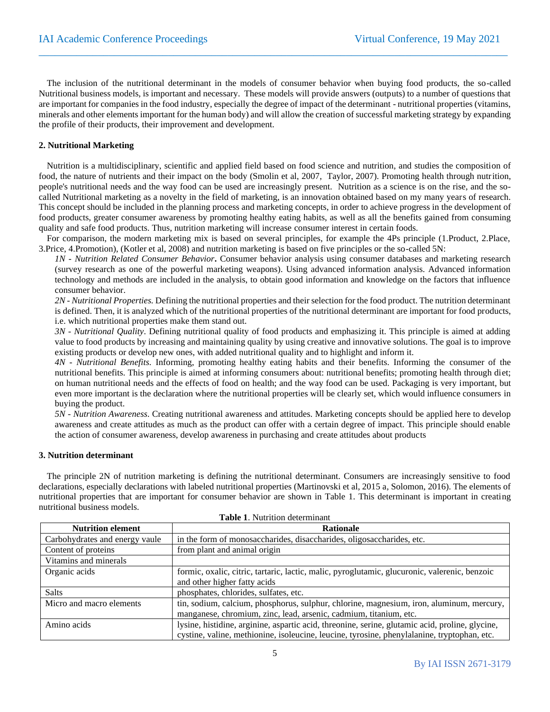The inclusion of the nutritional determinant in the models of consumer behavior when buying food products, the so-called Nutritional business models, is important and necessary. These models will provide answers (outputs) to a number of questions that are important for companies in the food industry, especially the degree of impact of the determinant - nutritional properties (vitamins, minerals and other elements important for the human body) and will allow the creation of successful marketing strategy by expanding the profile of their products, their improvement and development.

 $\_$  , and the set of the set of the set of the set of the set of the set of the set of the set of the set of the set of the set of the set of the set of the set of the set of the set of the set of the set of the set of th

#### **2. Nutritional Marketing**

Nutrition is a multidisciplinary, scientific and applied field based on food science and nutrition, and studies the composition of food, the nature of nutrients and their impact on the body (Smolin et al, 2007, Taylor, 2007). Promoting health through nutrition, people's nutritional needs and the way food can be used are increasingly present. Nutrition as a science is on the rise, and the socalled Nutritional marketing as a novelty in the field of marketing, is an innovation obtained based on my many years of research. This concept should be included in the planning process and marketing concepts, in order to achieve progress in the development of food products, greater consumer awareness by promoting healthy eating habits, as well as all the benefits gained from consuming quality and safe food products. Thus, nutrition marketing will increase consumer interest in certain foods.

For comparison, the modern marketing mix is based on several principles, for example the 4Ps principle (1.Product, 2.Place, 3.Price, 4.Promotion), (Kotler et al, 2008) and nutrition marketing is based on five principles or the so-called 5N:

*1N - Nutrition Related Consumer Behavior***.** Consumer behavior analysis using consumer databases and marketing research (survey research as one of the powerful marketing weapons). Using advanced information analysis. Advanced information technology and methods are included in the analysis, to obtain good information and knowledge on the factors that influence consumer behavior.

*2N - Nutritional Properties.* Defining the nutritional properties and their selection for the food product. The nutrition determinant is defined. Then, it is analyzed which of the nutritional properties of the nutritional determinant are important for food products, i.e. which nutritional properties make them stand out.

*3N - Nutritional Quality*. Defining nutritional quality of food products and emphasizing it. This principle is aimed at adding value to food products by increasing and maintaining quality by using creative and innovative solutions. The goal is to improve existing products or develop new ones, with added nutritional quality and to highlight and inform it.

*4N - Nutritional Benefits.* Informing, promoting healthy eating habits and their benefits. Informing the consumer of the nutritional benefits. This principle is aimed at informing consumers about: nutritional benefits; promoting health through diet; on human nutritional needs and the effects of food on health; and the way food can be used. Packaging is very important, but even more important is the declaration where the nutritional properties will be clearly set, which would influence consumers in buying the product.

*5N - Nutrition Awareness*. Creating nutritional awareness and attitudes. Marketing concepts should be applied here to develop awareness and create attitudes as much as the product can offer with a certain degree of impact. This principle should enable the action of consumer awareness, develop awareness in purchasing and create attitudes about products

#### **3. Nutrition determinant**

The principle 2N of nutrition marketing is defining the nutritional determinant. Consumers are increasingly sensitive to food declarations, especially declarations with labeled nutritional properties (Martinovski et al, 2015 a, Solomon, 2016). The elements of nutritional properties that are important for consumer behavior are shown in Table 1. This determinant is important in creating nutritional business models.

| Table 1. Nutrition determinant |                                                                                                 |  |  |  |  |  |
|--------------------------------|-------------------------------------------------------------------------------------------------|--|--|--|--|--|
| <b>Nutrition element</b>       | <b>Rationale</b>                                                                                |  |  |  |  |  |
| Carbohydrates and energy vaule | in the form of monosaccharides, disaccharides, oligosaccharides, etc.                           |  |  |  |  |  |
| Content of proteins            | from plant and animal origin                                                                    |  |  |  |  |  |
| Vitamins and minerals          |                                                                                                 |  |  |  |  |  |
| Organic acids                  | formic, oxalic, citric, tartaric, lactic, malic, pyroglutamic, glucuronic, valerenic, benzoic   |  |  |  |  |  |
|                                | and other higher fatty acids                                                                    |  |  |  |  |  |
| <b>Salts</b>                   | phosphates, chlorides, sulfates, etc.                                                           |  |  |  |  |  |
| Micro and macro elements       | tin, sodium, calcium, phosphorus, sulphur, chlorine, magnesium, iron, aluminum, mercury,        |  |  |  |  |  |
|                                | manganese, chromium, zinc, lead, arsenic, cadmium, titanium, etc.                               |  |  |  |  |  |
| Amino acids                    | lysine, histidine, arginine, aspartic acid, threonine, serine, glutamic acid, proline, glycine, |  |  |  |  |  |
|                                | cystine, valine, methionine, isoleucine, leucine, tyrosine, phenylalanine, tryptophan, etc.     |  |  |  |  |  |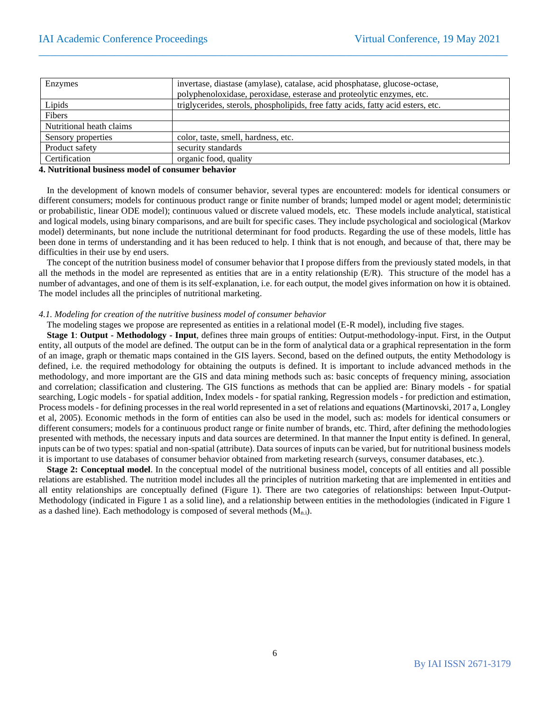| invertase, diastase (amylase), catalase, acid phosphatase, glucose-octase,<br>polyphenoloxidase, peroxidase, esterase and proteolytic enzymes, etc. |
|-----------------------------------------------------------------------------------------------------------------------------------------------------|
| triglycerides, sterols, phospholipids, free fatty acids, fatty acid esters, etc.                                                                    |
|                                                                                                                                                     |
|                                                                                                                                                     |
| color, taste, smell, hardness, etc.                                                                                                                 |
| security standards                                                                                                                                  |
| organic food, quality                                                                                                                               |
|                                                                                                                                                     |

 $\_$  , and the set of the set of the set of the set of the set of the set of the set of the set of the set of the set of the set of the set of the set of the set of the set of the set of the set of the set of the set of th

#### **4. Nutritional business model of consumer behavior**

In the development of known models of consumer behavior, several types are encountered: models for identical consumers or different consumers; models for continuous product range or finite number of brands; lumped model or agent model; deterministic or probabilistic, linear ODE model); continuous valued or discrete valued models, etc. These models include analytical, statistical and logical models, using binary comparisons, and are built for specific cases. They include psychological and sociological (Markov model) determinants, but none include the nutritional determinant for food products. Regarding the use of these models, little has been done in terms of understanding and it has been reduced to help. I think that is not enough, and because of that, there may be difficulties in their use by end users.

The concept of the nutrition business model of consumer behavior that I propose differs from the previously stated models, in that all the methods in the model are represented as entities that are in a entity relationship  $(E/R)$ . This structure of the model has a number of advantages, and one of them is its self-explanation, i.e. for each output, the model gives information on how it is obtained. The model includes all the principles of nutritional marketing.

#### *4.1. Modeling for creation of the nutritive business model of consumer behavior*

The modeling stages we propose are represented as entities in a relational model (E-R model), including five stages.

**Stage 1**: **Output - Methodology - Input**, defines three main groups of entities: Output-methodology-input. First, in the Output entity, all outputs of the model are defined. The output can be in the form of analytical data or a graphical representation in the form of an image, graph or thematic maps contained in the GIS layers. Second, based on the defined outputs, the entity Methodology is defined, i.e. the required methodology for obtaining the outputs is defined. It is important to include advanced methods in the methodology, and more important are the GIS and data mining methods such as: basic concepts of frequency mining, association and correlation; classification and clustering. The GIS functions as methods that can be applied are: Binary models - for spatial searching, Logic models - for spatial addition, Index models - for spatial ranking, Regression models - for prediction and estimation, Process models - for defining processes in the real world represented in a set of relations and equations (Martinovski, 2017 a, Longley et al, 2005). Economic methods in the form of entities can also be used in the model, such as: models for identical consumers or different consumers; models for a continuous product range or finite number of brands, etc. Third, after defining the methodologies presented with methods, the necessary inputs and data sources are determined. In that manner the Input entity is defined. In general, inputs can be of two types: spatial and non-spatial (attribute). Data sources of inputs can be varied, but for nutritional business models it is important to use databases of consumer behavior obtained from marketing research (surveys, consumer databases, etc.).

**Stage 2: Conceptual model**. In the conceptual model of the nutritional business model, concepts of all entities and all possible relations are established. The nutrition model includes all the principles of nutrition marketing that are implemented in entities and all entity relationships are conceptually defined (Figure 1). There are two categories of relationships: between Input-Output-Methodology (indicated in Figure 1 as a solid line), and a relationship between entities in the methodologies (indicated in Figure 1 as a dashed line). Each methodology is composed of several methods  $(M_{n,i})$ .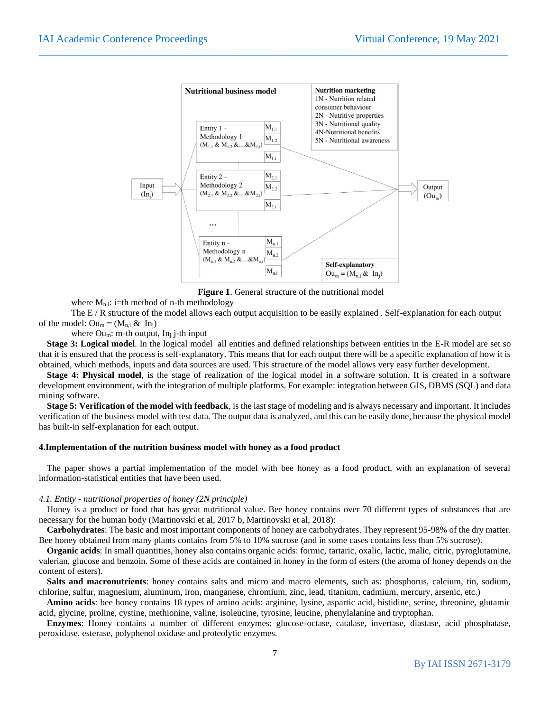

 $\_$  , and the set of the set of the set of the set of the set of the set of the set of the set of the set of the set of the set of the set of the set of the set of the set of the set of the set of the set of the set of th

**Figure 1**. General structure of the nutritional model

where  $M_{n,i}$ : i=th method of n-th methodology

The E / R structure of the model allows each output acquisition to be easily explained . Self-explanation for each output of the model:  $\text{Ou}_m = (M_{n,i} \& \text{In}_i)$ 

where  $\text{Ou}_m$ : m-th output, In<sub>i</sub> j-th input

**Stage 3: Logical model**. In the logical model all entities and defined relationships between entities in the E-R model are set so that it is ensured that the process is self-explanatory. This means that for each output there will be a specific explanation of how it is obtained, which methods, inputs and data sources are used. This structure of the model allows very easy further development.

**Stage 4: Physical model**, is the stage of realization of the logical model in a software solution. It is created in a software development environment, with the integration of multiple platforms. For example: integration between GIS, DBMS (SQL) and data mining software.

**Stage 5: Verification of the model with feedback**, is the last stage of modeling and is always necessary and important. It includes verification of the business model with test data. The output data is analyzed, and this can be easily done, because the physical model has built-in self-explanation for each output.

#### **4.Implementation of the nutrition business model with honey as a food product**

The paper shows a partial implementation of the model with bee honey as a food product, with an explanation of several information-statistical entities that have been used.

#### *4.1. Entity - nutritional properties of honey (2N principle)*

Honey is a product or food that has great nutritional value. Bee honey contains over 70 different types of substances that are necessary for the human body (Martinovski et al, 2017 b, Martinovski et al, 2018):

**Carbohydrates**: The basic and most important components of honey are carbohydrates. They represent 95-98% of the dry matter. Bee honey obtained from many plants contains from 5% to 10% sucrose (and in some cases contains less than 5% sucrose).

**Organic acids**: In small quantities, honey also contains organic acids: formic, tartaric, oxalic, lactic, malic, citric, pyroglutamine, valerian, glucose and benzoin. Some of these acids are contained in honey in the form of esters (the aroma of honey depends on the content of esters).

**Salts and macronutrients**: honey contains salts and micro and macro elements, such as: phosphorus, calcium, tin, sodium, chlorine, sulfur, magnesium, aluminum, iron, manganese, chromium, zinc, lead, titanium, cadmium, mercury, arsenic, etc.)

**Amino acids**: bee honey contains 18 types of amino acids: arginine, lysine, aspartic acid, histidine, serine, threonine, glutamic acid, glycine, proline, cystine, methionine, valine, isoleucine, tyrosine, leucine, phenylalanine and tryptophan.

**Enzymes**: Honey contains a number of different enzymes: glucose-octase, catalase, invertase, diastase, acid phosphatase, peroxidase, esterase, polyphenol oxidase and proteolytic enzymes.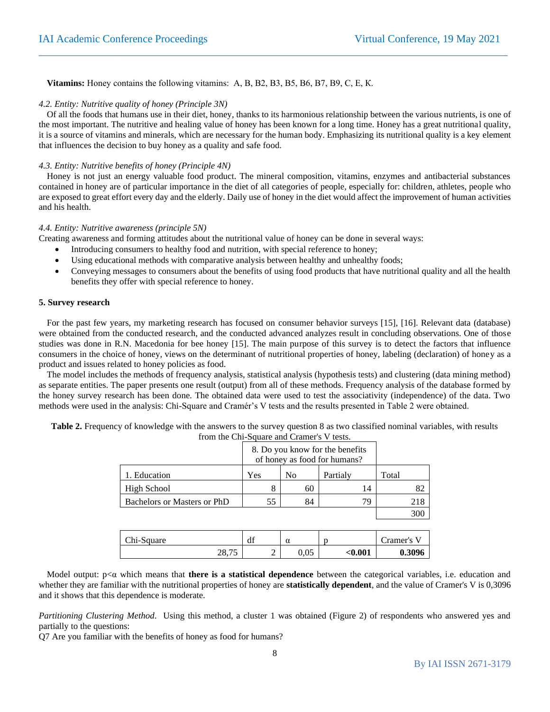**Vitamins:** Honey contains the following vitamins: А, В, В2, В3, В5, В6, В7, В9, С, Е, К.

#### *4.2. Entity: Nutritive quality of honey (Principle 3N)*

Of all the foods that humans use in their diet, honey, thanks to its harmonious relationship between the various nutrients, is one of the most important. The nutritive and healing value of honey has been known for a long time. Honey has a great nutritional quality, it is a source of vitamins and minerals, which are necessary for the human body. Emphasizing its nutritional quality is a key element that influences the decision to buy honey as a quality and safe food.

 $\_$  , and the set of the set of the set of the set of the set of the set of the set of the set of the set of the set of the set of the set of the set of the set of the set of the set of the set of the set of the set of th

#### *4.3. Entity: Nutritive benefits of honey (Principle 4N)*

Honey is not just an energy valuable food product. The mineral composition, vitamins, enzymes and antibacterial substances contained in honey are of particular importance in the diet of all categories of people, especially for: children, athletes, people who are exposed to great effort every day and the elderly. Daily use of honey in the diet would affect the improvement of human activities and his health.

#### *4.4. Entity: Nutritive awareness (principle 5N)*

Creating awareness and forming attitudes about the nutritional value of honey can be done in several ways:

- Introducing consumers to healthy food and nutrition, with special reference to honey;
- Using educational methods with comparative analysis between healthy and unhealthy foods;
- Conveying messages to consumers about the benefits of using food products that have nutritional quality and all the health benefits they offer with special reference to honey.

#### **5. Survey research**

For the past few years, my marketing research has focused on consumer behavior surveys [15], [16]. Relevant data (database) were obtained from the conducted research, and the conducted advanced analyzes result in concluding observations. One of those studies was done in R.N. Macedonia for bee honey [15]. The main purpose of this survey is to detect the factors that influence consumers in the choice of honey, views on the determinant of nutritional properties of honey, labeling (declaration) of honey as a product and issues related to honey policies as food.

The model includes the methods of frequency analysis, statistical analysis (hypothesis tests) and clustering (data mining method) as separate entities. The paper presents one result (output) from all of these methods. Frequency analysis of the database formed by the honey survey research has been done. The obtained data were used to test the associativity (independence) of the data. Two methods were used in the analysis: Chi-Square and Cramér's V tests and the results presented in Table 2 were obtained.

| from the Chi-Square and Cramer's V tests. |     |                |                                 |       |
|-------------------------------------------|-----|----------------|---------------------------------|-------|
|                                           |     |                | 8. Do you know for the benefits |       |
|                                           |     |                | of honey as food for humans?    |       |
| . Education                               | Yes | N <sub>0</sub> | Partialy                        | Total |
| High School                               | 8   | 60             |                                 | 82    |
| Bachelors or Masters or PhD               | 55  | 84             | 79                              | 218   |
|                                           |     |                |                                 |       |

**Table 2.** Frequency of knowledge with the answers to the survey question 8 as two classified nominal variables, with results  $f_{\text{nom}}$  the  $C_{\text{b}}$ :  $S_{\text{ground}}$ 

| Chi-Square | df     | α    | n       | ramer's |
|------------|--------|------|---------|---------|
| 28,75      | ∼<br>∼ | 0.05 | $0.001$ | 0.3096  |

Model output: p<α which means that **there is a statistical dependence** between the categorical variables, i.e. education and whether they are familiar with the nutritional properties of honey are **statistically dependent**, and the value of Cramer's V is 0,3096 and it shows that this dependence is moderate.

*Partitioning Clustering Method*. Using this method, a cluster 1 was obtained (Figure 2) of respondents who answered yes and partially to the questions:

Q7 Are you familiar with the benefits of honey as food for humans?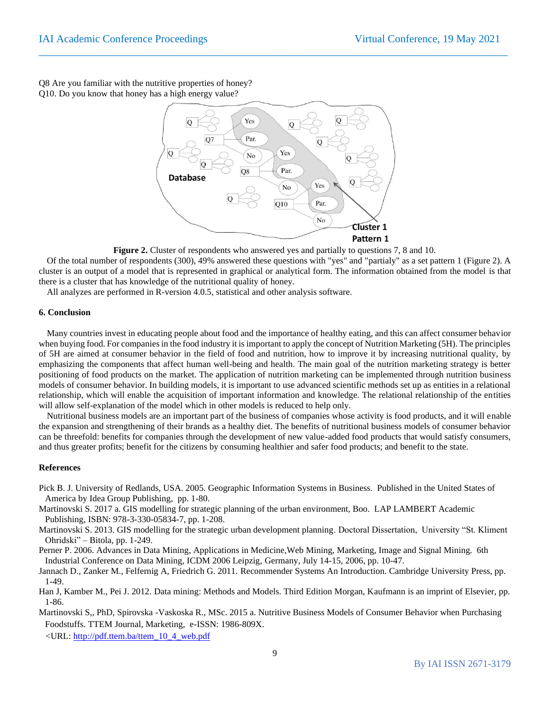Q8 Are you familiar with the nutritive properties of honey? Q10. Do you know that honey has a high energy value?



 $\_$  , and the set of the set of the set of the set of the set of the set of the set of the set of the set of the set of the set of the set of the set of the set of the set of the set of the set of the set of the set of th

**Figure 2.** Cluster of respondents who answered yes and partially to questions 7, 8 and 10.

Of the total number of respondents (300), 49% answered these questions with "yes" and "partialy" as a set pattern 1 (Figure 2). A cluster is an output of a model that is represented in graphical or analytical form. The information obtained from the model is that there is a cluster that has knowledge of the nutritional quality of honey.

All analyzes are performed in R-version 4.0.5, statistical and other analysis software.

#### **6. Conclusion**

Many countries invest in educating people about food and the importance of healthy eating, and this can affect consumer behavior when buying food. For companies in the food industry it is important to apply the concept of Nutrition Marketing (5H). The principles of 5H are aimed at consumer behavior in the field of food and nutrition, how to improve it by increasing nutritional quality, by emphasizing the components that affect human well-being and health. The main goal of the nutrition marketing strategy is better positioning of food products on the market. The application of nutrition marketing can be implemented through nutrition business models of consumer behavior. In building models, it is important to use advanced scientific methods set up as entities in a relational relationship, which will enable the acquisition of important information and knowledge. The relational relationship of the entities will allow self-explanation of the model which in other models is reduced to help only.

Nutritional business models are an important part of the business of companies whose activity is food products, and it will enable the expansion and strengthening of their brands as a healthy diet. The benefits of nutritional business models of consumer behavior can be threefold: benefits for companies through the development of new value-added food products that would satisfy consumers, and thus greater profits; benefit for the citizens by consuming healthier and safer food products; and benefit to the state.

#### **References**

- Pick B. J. University of Redlands, USA. 2005. Geographic Information Systems in Business. Published in the United States of America by Idea Group Publishing, pp. 1-80.
- Martinovski S. 2017 a. GIS modelling for strategic planning of the urban environment, Boo. LAP LAMBERT Academic Publishing, ISBN: 978-3-330-05834-7, pp. 1-208.
- Martinovski S. 2013. GIS modelling for the strategic urban development planning. Doctoral Dissertation, University "St. Kliment Ohridski" – Bitola, pp. 1-249.
- Perner P. 2006. Advances in Data Mining, Applications in Medicine,Web Mining, Marketing, Image and Signal Mining. 6th Industrial Conference on Data Mining, ICDM 2006 Leipzig, Germany, July 14-15, 2006, pp. 10-47.
- Jannach D., Zanker M., Felfernig A, Friedrich G. 2011. Recommender Systems An Introduction. Cambridge University Press, pp. 1-49.
- Han J, Kamber M., Pei J. 2012. Data mining: Methods and Models. Third Edition Morgan, Kaufmann is an imprint of Elsevier, pp. 1-86.
- Martinovski S,, PhD, Spirovska -Vaskoska R., MSc. 2015 a. Nutritive Business Models of Consumer Behavior when Purchasing Foodstuffs. TTEM Journal, Marketing, e-ISSN: 1986-809X.

<URL[: http://pdf.ttem.ba/ttem\\_10\\_4\\_web.pdf](http://pdf.ttem.ba/ttem_10_4_web.pdf)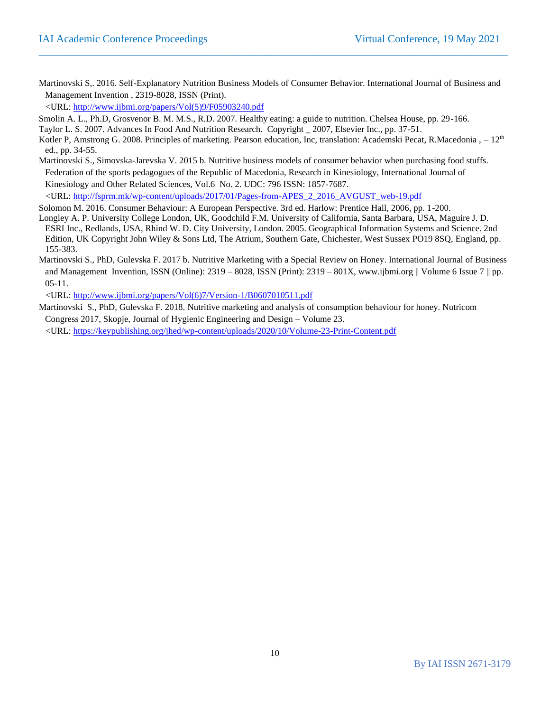Martinovski S,. 2016. Self-Explanatory Nutrition Business Models of Consumer Behavior. International Journal of Business and Management Invention , 2319-8028, ISSN (Print).

 $\_$  , and the set of the set of the set of the set of the set of the set of the set of the set of the set of the set of the set of the set of the set of the set of the set of the set of the set of the set of the set of th

<URL[: http://www.ijbmi.org/papers/Vol\(5\)9/F05903240.pdf](http://www.ijbmi.org/papers/Vol(5)9/F05903240.pdf)

Smolin A. L., Ph.D, Grosvenor B. M. M.S., R.D. 2007. Healthy eating: a guide to nutrition. Chelsea House, pp. 29-166.

Taylor L. S. 2007. Advances In Food And Nutrition Research. Copyright \_ 2007, Elsevier Inc., pp. 37-51.

Kotler P, Amstrong G. 2008. Principles of marketing. Pearson education, Inc, translation: Academski Pecat, R.Macedonia ,  $-12<sup>th</sup>$ ed., pp. 34-55.

Martinovski S., Simovska-Jarevska V. 2015 b. Nutritive business models of consumer behavior when purchasing food stuffs. Federation of the sports pedagogues of the Republic of Macedonia, Research in Kinesiology, International Journal of Kinesiology and Other Related Sciences, Vol.6 No. 2. UDC: 796 ISSN: 1857-7687. <URL[: http://fsprm.mk/wp-content/uploads/2017/01/Pages-from-APES\\_2\\_2016\\_AVGUST\\_web-19.pdf](http://fsprm.mk/wp-content/uploads/2017/01/Pages-from-APES_2_2016_AVGUST_web-19.pdf)

Solomon M. 2016. Consumer Behaviour: A European Perspective. 3rd ed. Harlow: Prentice Hall, 2006, pp. 1-200.

- Longley A. P. University College London, UK, Goodchild F.M. University of California, Santa Barbara, USA, Maguire J. D. ESRI Inc., Redlands, USA, Rhind W. D. City University, London. 2005. Geographical Information Systems and Science. 2nd Edition, UK Copyright John Wiley & Sons Ltd, The Atrium, Southern Gate, Chichester, West Sussex PO19 8SQ, England, pp. 155-383.
- Martinovski S., PhD, Gulevska F. 2017 b. Nutritive Marketing with a Special Review on Honey. International Journal of Business and Management Invention, ISSN (Online):  $2319 - 8028$ , ISSN (Print):  $2319 - 801X$ , www.ijbmi.org || Volume 6 Issue 7 || pp. 05-11.

<URL[: http://www.ijbmi.org/papers/Vol\(6\)7/Version-1/B0607010511.pdf](http://www.ijbmi.org/papers/Vol(6)7/Version-1/B0607010511.pdf)

Martinovski S., PhD, Gulevska F. 2018. Nutritive marketing and analysis of consumption behaviour for honey. Nutricom Congress 2017, Skopje, Journal of Hygienic Engineering and Design – Volume 23.

<URL[: https://keypublishing.org/jhed/wp-content/uploads/2020/10/Volume-23-Print-Content.pdf](https://keypublishing.org/jhed/wp-content/uploads/2020/10/Volume-23-Print-Content.pdf)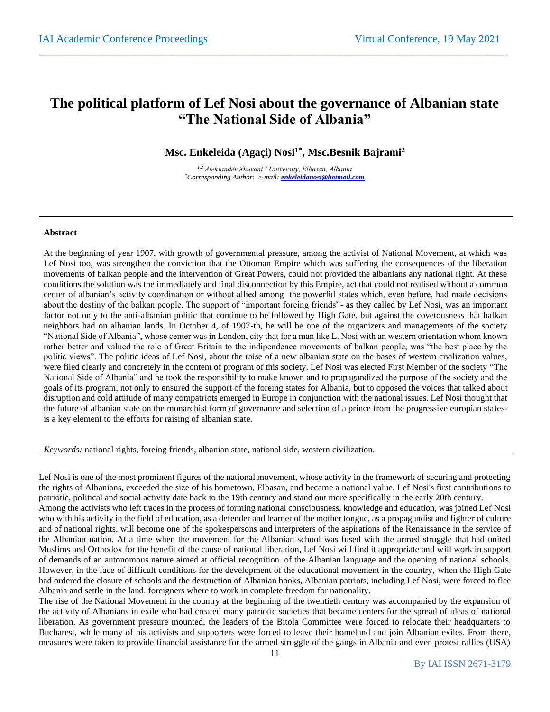## **The political platform of Lef Nosi about the governance of Albanian state "The National Side of Albania"**

 $\_$  , and the set of the set of the set of the set of the set of the set of the set of the set of the set of the set of the set of the set of the set of the set of the set of the set of the set of the set of the set of th

**Msc. Enkeleida (Agaçi) Nosi1\*, Msc.Besnik Bajrami<sup>2</sup>**

*1,2 Aleksandër Xhuvani" University, Elbasan, Albania \*Corresponding Author: e-mail: [enkeleidanosi@hotmail.com](mailto:enkeleidanosi@hotmail.com)*

#### **Abstract**

At the beginning of year 1907, with growth of governmental pressure, among the activist of National Movement, at which was Lef Nosi too, was strengthen the conviction that the Ottoman Empire which was suffering the consequences of the liberation movements of balkan people and the intervention of Great Powers, could not provided the albanians any national right. At these conditions the solution was the immediately and final disconnection by this Empire, act that could not realised without a common center of albanian's activity coordination or without allied among the powerful states which, even before, had made decisions about the destiny of the balkan people. The support of "important foreing friends"- as they called by Lef Nosi, was an important factor not only to the anti-albanian politic that continue to be followed by High Gate, but against the covetousness that balkan neighbors had on albanian lands. In October 4, of 1907-th, he will be one of the organizers and managements of the society "National Side of Albania", whose center was in London, city that for a man like L. Nosi with an western orientation whom known rather better and valued the role of Great Britain to the indipendence movements of balkan people, was "the best place by the politic views". The politic ideas of Lef Nosi, about the raise of a new albanian state on the bases of western civilization values, were filed clearly and concretely in the content of program of this society. Lef Nosi was elected First Member of the society "The National Side of Albania" and he took the responsibility to make known and to propagandized the purpose of the society and the goals of its program, not only to ensured the support of the foreing states for Albania, but to opposed the voices that talked about disruption and cold attitude of many compatriots emerged in Europe in conjunction with the national issues. Lef Nosi thought that the future of albanian state on the monarchist form of governance and selection of a prince from the progressive europian statesis a key element to the efforts for raising of albanian state.

*Keywords:* national rights, foreing friends, albanian state, national side, western civilization.

Lef Nosi is one of the most prominent figures of the national movement, whose activity in the framework of securing and protecting the rights of Albanians, exceeded the size of his hometown, Elbasan, and became a national value. Lef Nosi's first contributions to patriotic, political and social activity date back to the 19th century and stand out more specifically in the early 20th century.

Among the activists who left traces in the process of forming national consciousness, knowledge and education, was joined Lef Nosi who with his activity in the field of education, as a defender and learner of the mother tongue, as a propagandist and fighter of culture and of national rights, will become one of the spokespersons and interpreters of the aspirations of the Renaissance in the service of the Albanian nation. At a time when the movement for the Albanian school was fused with the armed struggle that had united Muslims and Orthodox for the benefit of the cause of national liberation, Lef Nosi will find it appropriate and will work in support of demands of an autonomous nature aimed at official recognition. of the Albanian language and the opening of national schools. However, in the face of difficult conditions for the development of the educational movement in the country, when the High Gate had ordered the closure of schools and the destruction of Albanian books, Albanian patriots, including Lef Nosi, were forced to flee Albania and settle in the land. foreigners where to work in complete freedom for nationality.

The rise of the National Movement in the country at the beginning of the twentieth century was accompanied by the expansion of the activity of Albanians in exile who had created many patriotic societies that became centers for the spread of ideas of national liberation. As government pressure mounted, the leaders of the Bitola Committee were forced to relocate their headquarters to Bucharest, while many of his activists and supporters were forced to leave their homeland and join Albanian exiles. From there, measures were taken to provide financial assistance for the armed struggle of the gangs in Albania and even protest rallies (USA)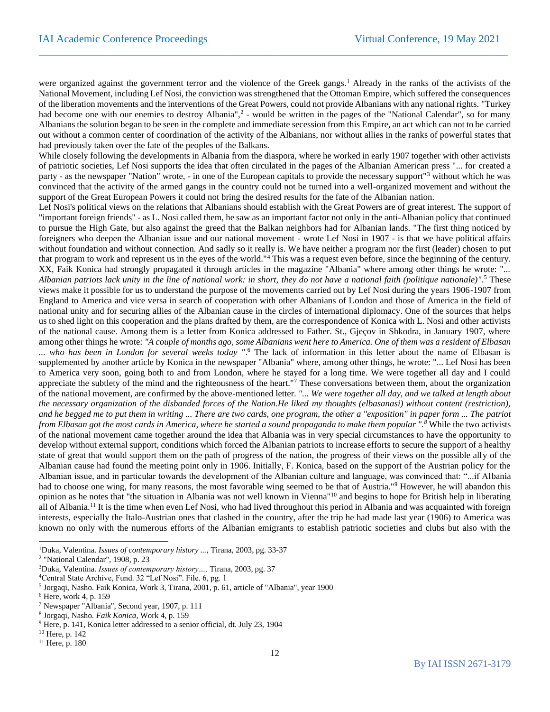were organized against the government terror and the violence of the Greek gangs.<sup>1</sup> Already in the ranks of the activists of the National Movement, including Lef Nosi, the conviction was strengthened that the Ottoman Empire, which suffered the consequences of the liberation movements and the interventions of the Great Powers, could not provide Albanians with any national rights. "Turkey had become one with our enemies to destroy Albania",<sup>2</sup> - would be written in the pages of the "National Calendar", so for many Albanians the solution began to be seen in the complete and immediate secession from this Empire, an act which can not to be carried out without a common center of coordination of the activity of the Albanians, nor without allies in the ranks of powerful states that had previously taken over the fate of the peoples of the Balkans.

 $\_$  , and the set of the set of the set of the set of the set of the set of the set of the set of the set of the set of the set of the set of the set of the set of the set of the set of the set of the set of the set of th

While closely following the developments in Albania from the diaspora, where he worked in early 1907 together with other activists of patriotic societies, Lef Nosi supports the idea that often circulated in the pages of the Albanian American press "... for created a party - as the newspaper "Nation" wrote, - in one of the European capitals to provide the necessary support"<sup>3</sup> without which he was convinced that the activity of the armed gangs in the country could not be turned into a well-organized movement and without the support of the Great European Powers it could not bring the desired results for the fate of the Albanian nation.

Lef Nosi's political views on the relations that Albanians should establish with the Great Powers are of great interest. The support of "important foreign friends" - as L. Nosi called them, he saw as an important factor not only in the anti-Albanian policy that continued to pursue the High Gate, but also against the greed that the Balkan neighbors had for Albanian lands. "The first thing noticed by foreigners who deepen the Albanian issue and our national movement - wrote Lef Nosi in 1907 - is that we have political affairs without foundation and without connection. And sadly so it really is. We have neither a program nor the first (leader) chosen to put that program to work and represent us in the eyes of the world."<sup>4</sup> This was a request even before, since the beginning of the century. XX, Faik Konica had strongly propagated it through articles in the magazine "Albania" where among other things he wrote: "... *Albanian patriots lack unity in the line of national work: in short, they do not have a national faith (politique nationale)"*. <sup>5</sup> These views make it possible for us to understand the purpose of the movements carried out by Lef Nosi during the years 1906-1907 from England to America and vice versa in search of cooperation with other Albanians of London and those of America in the field of national unity and for securing allies of the Albanian cause in the circles of international diplomacy. One of the sources that helps us to shed light on this cooperation and the plans drafted by them, are the correspondence of Konica with L. Nosi and other activists of the national cause. Among them is a letter from Konica addressed to Father. St., Gjeçov in Shkodra, in January 1907, where among other things he wrote: *"A couple of months ago, some Albanians went here to America. One of them was a resident of Elbasan ... who has been in London for several weeks today "*. <sup>6</sup> The lack of information in this letter about the name of Elbasan is supplemented by another article by Konica in the newspaper "Albania" where, among other things, he wrote: "... Lef Nosi has been to America very soon, going both to and from London, where he stayed for a long time. We were together all day and I could appreciate the subtlety of the mind and the righteousness of the heart."<sup>7</sup> These conversations between them, about the organization of the national movement, are confirmed by the above-mentioned letter. *"... We were together all day, and we talked at length about the necessary organization of the disbanded forces of the Nation.He liked my thoughts (elbasanasi) without content (restriction), and he begged me to put them in writing ... There are two cards, one program, the other a "exposition" in paper form ... The patriot from Elbasan got the most cards in America, where he started a sound propaganda to make them popular ".<sup>8</sup>* While the two activists of the national movement came together around the idea that Albania was in very special circumstances to have the opportunity to develop without external support, conditions which forced the Albanian patriots to increase efforts to secure the support of a healthy state of great that would support them on the path of progress of the nation, the progress of their views on the possible ally of the Albanian cause had found the meeting point only in 1906. Initially, F. Konica, based on the support of the Austrian policy for the Albanian issue, and in particular towards the development of the Albanian culture and language, was convinced that: "...if Albania had to choose one wing, for many reasons, the most favorable wing seemed to be that of Austria."<sup>9</sup> However, he will abandon this opinion as he notes that "the situation in Albania was not well known in Vienna"<sup>10</sup> and begins to hope for British help in liberating all of Albania.<sup>11</sup> It is the time when even Lef Nosi, who had lived throughout this period in Albania and was acquainted with foreign interests, especially the Italo-Austrian ones that clashed in the country, after the trip he had made last year (1906) to America was known no only with the numerous efforts of the Albanian emigrants to establish patriotic societies and clubs but also with the

<sup>1</sup>Duka, Valentina. *Issues of contemporary history ...,* Tirana, 2003, pg. 33-37

<sup>&</sup>lt;sup>2</sup> "National Calendar", 1908, p. 23

<sup>3</sup>Duka, Valentina. *Issues of contemporary history…,* Tirana, 2003, pg. 37

<sup>4</sup>Central State Archive, Fund. 32 "Lef Nosi". File. 6, pg. 1

<sup>5</sup> Jorgaqi, Nasho. Faik Konica, Work 3, Tirana, 2001, p. 61, article of "Albania", year 1900

<sup>6</sup> Here, work 4, p. 159

<sup>7</sup> Newspaper "Albania", Second year, 1907, p. 111

<sup>8</sup> Jorgaqi, Nasho. *Faik Konica*, Work 4, p. 159

<sup>9</sup> Here, p. 141, Konica letter addressed to a senior official, dt. July 23, 1904

<sup>10</sup> Here, p. 142

<sup>11</sup> Here, p. 180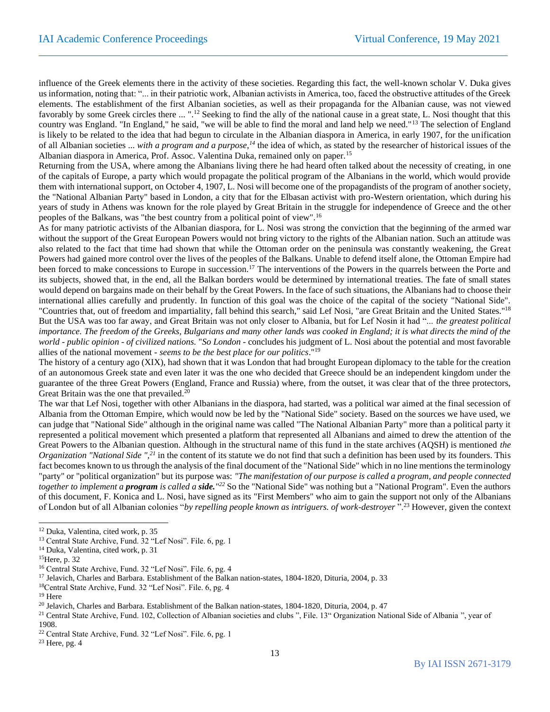influence of the Greek elements there in the activity of these societies. Regarding this fact, the well-known scholar V. Duka gives us information, noting that: "... in their patriotic work, Albanian activists in America, too, faced the obstructive attitudes of the Greek elements. The establishment of the first Albanian societies, as well as their propaganda for the Albanian cause, was not viewed favorably by some Greek circles there ... ".<sup>12</sup> Seeking to find the ally of the national cause in a great state, L. Nosi thought that this country was England. "In England," he said, "we will be able to find the moral and land help we need."<sup>13</sup> The selection of England is likely to be related to the idea that had begun to circulate in the Albanian diaspora in America, in early 1907, for the unification of all Albanian societies ... *with a program and a purpose,<sup>14</sup>* the idea of which, as stated by the researcher of historical issues of the Albanian diaspora in America, Prof. Assoc. Valentina Duka, remained only on paper.<sup>15</sup>

 $\_$  , and the set of the set of the set of the set of the set of the set of the set of the set of the set of the set of the set of the set of the set of the set of the set of the set of the set of the set of the set of th

Returning from the USA, where among the Albanians living there he had heard often talked about the necessity of creating, in one of the capitals of Europe, a party which would propagate the political program of the Albanians in the world, which would provide them with international support, on October 4, 1907, L. Nosi will become one of the propagandists of the program of another society, the "National Albanian Party" based in London, a city that for the Elbasan activist with pro-Western orientation, which during his years of study in Athens was known for the role played by Great Britain in the struggle for independence of Greece and the other peoples of the Balkans, was "the best country from a political point of view".<sup>16</sup>

As for many patriotic activists of the Albanian diaspora, for L. Nosi was strong the conviction that the beginning of the armed war without the support of the Great European Powers would not bring victory to the rights of the Albanian nation. Such an attitude was also related to the fact that time had shown that while the Ottoman order on the peninsula was constantly weakening, the Great Powers had gained more control over the lives of the peoples of the Balkans. Unable to defend itself alone, the Ottoman Empire had been forced to make concessions to Europe in succession.<sup>17</sup> The interventions of the Powers in the quarrels between the Porte and its subjects, showed that, in the end, all the Balkan borders would be determined by international treaties. The fate of small states would depend on bargains made on their behalf by the Great Powers. In the face of such situations, the Albanians had to choose their international allies carefully and prudently. In function of this goal was the choice of the capital of the society "National Side". "Countries that, out of freedom and impartiality, fall behind this search," said Lef Nosi, "are Great Britain and the United States."<sup>18</sup> But the USA was too far away, and Great Britain was not only closer to Albania, but for Lef Nosin it had "... *the greatest political importance. The freedom of the Greeks, Bulgarians and many other lands was cooked in England; it is what directs the mind of the world - public opinion - of civilized nations.* "*So London* - concludes his judgment of L. Nosi about the potential and most favorable allies of the national movement - *seems to be the best place for our politics*."<sup>19</sup>

The history of a century ago (XIX), had shown that it was London that had brought European diplomacy to the table for the creation of an autonomous Greek state and even later it was the one who decided that Greece should be an independent kingdom under the guarantee of the three Great Powers (England, France and Russia) where, from the outset, it was clear that of the three protectors, Great Britain was the one that prevailed.<sup>20</sup>

The war that Lef Nosi, together with other Albanians in the diaspora, had started, was a political war aimed at the final secession of Albania from the Ottoman Empire, which would now be led by the "National Side" society. Based on the sources we have used, we can judge that "National Side" although in the original name was called "The National Albanian Party" more than a political party it represented a political movement which presented a platform that represented all Albanians and aimed to drew the attention of the Great Powers to the Albanian question. Although in the structural name of this fund in the state archives (AQSH) is mentioned *the Organization "National Side ",<sup>21</sup>* in the content of its statute we do not find that such a definition has been used by its founders. This fact becomes known to us through the analysis of the final document of the "National Side" which in no line mentions the terminology "party" or "political organization" but its purpose was: *"The manifestation of our purpose is called a program, and people connected together to implement a program is called a side." <sup>22</sup>* So the "National Side" was nothing but a "National Program". Even the authors of this document, F. Konica and L. Nosi, have signed as its "First Members" who aim to gain the support not only of the Albanians of London but of all Albanian colonies "*by repelling people known as intriguers. of work-destroyer* ".<sup>23</sup> However, given the context

<sup>12</sup> Duka, Valentina, cited work, p. 35

<sup>&</sup>lt;sup>13</sup> Central State Archive, Fund. 32 "Lef Nosi". File. 6, pg. 1

<sup>14</sup> Duka, Valentina, cited work, p. 31

<sup>15</sup>Here, p. 32

<sup>&</sup>lt;sup>16</sup> Central State Archive, Fund. 32 "Lef Nosi". File. 6, pg. 4

<sup>17</sup> Jelavich, Charles and Barbara. Establishment of the Balkan nation-states, 1804-1820, Dituria, 2004, p. 33

<sup>18</sup>Central State Archive, Fund. 32 "Lef Nosi". File. 6, pg. 4

<sup>19</sup> Here

<sup>&</sup>lt;sup>20</sup> Jelavich, Charles and Barbara. Establishment of the Balkan nation-states, 1804-1820, Dituria, 2004, p. 47

<sup>&</sup>lt;sup>21</sup> Central State Archive, Fund. 102, Collection of Albanian societies and clubs ", File. 13" Organization National Side of Albania ", year of 1908.

<sup>22</sup> Central State Archive, Fund. 32 "Lef Nosi". File. 6, pg. 1

 $23$  Here, pg. 4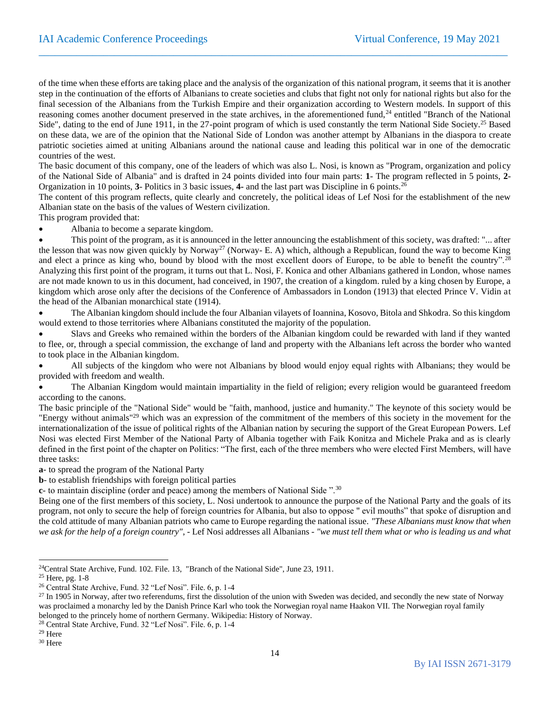of the time when these efforts are taking place and the analysis of the organization of this national program, it seems that it is another step in the continuation of the efforts of Albanians to create societies and clubs that fight not only for national rights but also for the final secession of the Albanians from the Turkish Empire and their organization according to Western models. In support of this reasoning comes another document preserved in the state archives, in the aforementioned fund,<sup>24</sup> entitled "Branch of the National Side", dating to the end of June 1911, in the 27-point program of which is used constantly the term National Side Society.<sup>25</sup> Based on these data, we are of the opinion that the National Side of London was another attempt by Albanians in the diaspora to create patriotic societies aimed at uniting Albanians around the national cause and leading this political war in one of the democratic countries of the west.

 $\_$  , and the set of the set of the set of the set of the set of the set of the set of the set of the set of the set of the set of the set of the set of the set of the set of the set of the set of the set of the set of th

The basic document of this company, one of the leaders of which was also L. Nosi, is known as "Program, organization and policy of the National Side of Albania" and is drafted in 24 points divided into four main parts: **1**- The program reflected in 5 points, **2**- Organization in 10 points, **3**- Politics in 3 basic issues, **4-** and the last part was Discipline in 6 points.<sup>26</sup>

The content of this program reflects, quite clearly and concretely, the political ideas of Lef Nosi for the establishment of the new Albanian state on the basis of the values of Western civilization.

This program provided that:

• Albania to become a separate kingdom.

This point of the program, as it is announced in the letter announcing the establishment of this society, was drafted: "... after the lesson that was now given quickly by Norway<sup>27</sup> (Norway- E. A) which, although a Republican, found the way to become King and elect a prince as king who, bound by blood with the most excellent doors of Europe, to be able to benefit the country".<sup>28</sup> Analyzing this first point of the program, it turns out that L. Nosi, F. Konica and other Albanians gathered in London, whose names are not made known to us in this document, had conceived, in 1907, the creation of a kingdom. ruled by a king chosen by Europe, a kingdom which arose only after the decisions of the Conference of Ambassadors in London (1913) that elected Prince V. Vidin at the head of the Albanian monarchical state (1914).

• The Albanian kingdom should include the four Albanian vilayets of Ioannina, Kosovo, Bitola and Shkodra. So this kingdom would extend to those territories where Albanians constituted the majority of the population.

• Slavs and Greeks who remained within the borders of the Albanian kingdom could be rewarded with land if they wanted to flee, or, through a special commission, the exchange of land and property with the Albanians left across the border who wanted to took place in the Albanian kingdom.

• All subjects of the kingdom who were not Albanians by blood would enjoy equal rights with Albanians; they would be provided with freedom and wealth.

• The Albanian Kingdom would maintain impartiality in the field of religion; every religion would be guaranteed freedom according to the canons.

The basic principle of the "National Side" would be "faith, manhood, justice and humanity." The keynote of this society would be "Energy without animals"<sup>29</sup> which was an expression of the commitment of the members of this society in the movement for the internationalization of the issue of political rights of the Albanian nation by securing the support of the Great European Powers. Lef Nosi was elected First Member of the National Party of Albania together with Faik Konitza and Michele Praka and as is clearly defined in the first point of the chapter on Politics: "The first, each of the three members who were elected First Members, will have three tasks:

**a**- to spread the program of the National Party

**b**- to establish friendships with foreign political parties

**c**- to maintain discipline (order and peace) among the members of National Side ".<sup>30</sup>

Being one of the first members of this society, L. Nosi undertook to announce the purpose of the National Party and the goals of its program, not only to secure the help of foreign countries for Albania, but also to oppose " evil mouths" that spoke of disruption and the cold attitude of many Albanian patriots who came to Europe regarding the national issue. *"These Albanians must know that when we ask for the help of a foreign country"*, - Lef Nosi addresses all Albanians - *"we must tell them what or who is leading us and what* 

<sup>28</sup> Central State Archive, Fund. 32 "Lef Nosi". File. 6, p. 1-4

<sup>24</sup>Central State Archive, Fund. 102. File. 13, "Branch of the National Side", June 23, 1911.

<sup>25</sup> Here, pg. 1-8

<sup>26</sup> Central State Archive, Fund. 32 "Lef Nosi". File. 6, p. 1-4

<sup>&</sup>lt;sup>27</sup> In 1905 in Norway, after two referendums, first the dissolution of the union with Sweden was decided, and secondly the new state of Norway was proclaimed a monarchy led by the Danish Prince Karl who took the Norwegian royal name Haakon VII. The Norwegian royal family belonged to the princely home of northern Germany. Wikipedia: History of Norway.

<sup>29</sup> Here

<sup>30</sup> Here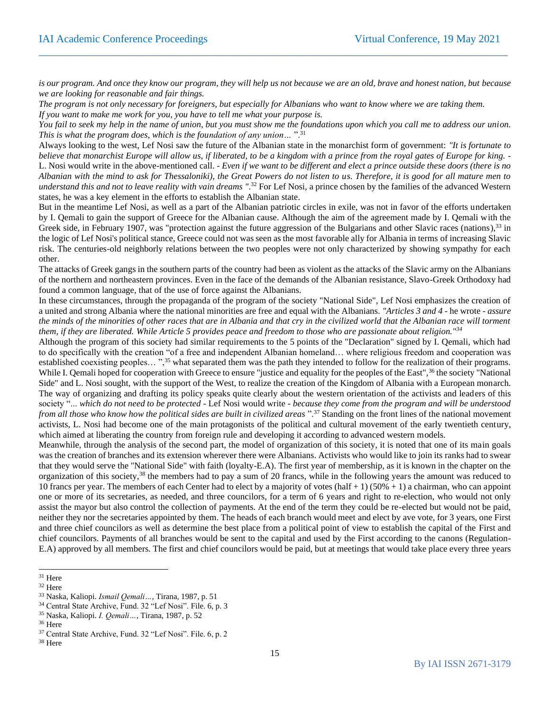is our program. And once they know our program, they will help us not because we are an old, brave and honest nation, but because *we are looking for reasonable and fair things.*

 $\_$  , and the set of the set of the set of the set of the set of the set of the set of the set of the set of the set of the set of the set of the set of the set of the set of the set of the set of the set of the set of th

*The program is not only necessary for foreigners, but especially for Albanians who want to know where we are taking them. If you want to make me work for you, you have to tell me what your purpose is.* 

*You fail to seek my help in the name of union, but you must show me the foundations upon which you call me to address our union. This is what the program does, which is the foundation of any union…* ".<sup>31</sup>

Always looking to the west, Lef Nosi saw the future of the Albanian state in the monarchist form of government: *"It is fortunate to believe that monarchist Europe will allow us, if liberated, to be a kingdom with a prince from the royal gates of Europe for king.* - L. Nosi would write in the above-mentioned call. - *Even if we want to be different and elect a prince outside these doors (there is no Albanian with the mind to ask for Thessaloniki), the Great Powers do not listen to us. Therefore, it is good for all mature men to understand this and not to leave reality with vain dreams "*. <sup>32</sup> For Lef Nosi, a prince chosen by the families of the advanced Western states, he was a key element in the efforts to establish the Albanian state.

But in the meantime Lef Nosi, as well as a part of the Albanian patriotic circles in exile, was not in favor of the efforts undertaken by I. Qemali to gain the support of Greece for the Albanian cause. Although the aim of the agreement made by I. Qemali with the Greek side, in February 1907, was "protection against the future aggression of the Bulgarians and other Slavic races (nations),<sup>33</sup> in the logic of Lef Nosi's political stance, Greece could not was seen as the most favorable ally for Albania in terms of increasing Slavic risk. The centuries-old neighborly relations between the two peoples were not only characterized by showing sympathy for each other.

The attacks of Greek gangs in the southern parts of the country had been as violent as the attacks of the Slavic army on the Albanians of the northern and northeastern provinces. Even in the face of the demands of the Albanian resistance, Slavo-Greek Orthodoxy had found a common language, that of the use of force against the Albanians.

In these circumstances, through the propaganda of the program of the society "National Side", Lef Nosi emphasizes the creation of a united and strong Albania where the national minorities are free and equal with the Albanians. *"Articles 3 and 4* - he wrote - *assure the minds of the minorities of other races that are in Albania and that cry in the civilized world that the Albanian race will torment them, if they are liberated. While Article 5 provides peace and freedom to those who are passionate about religion."<sup>34</sup>*

Although the program of this society had similar requirements to the 5 points of the "Declaration" signed by I. Qemali, which had to do specifically with the creation "of a free and independent Albanian homeland… where religious freedom and cooperation was established coexisting peoples... ",<sup>35</sup> what separated them was the path they intended to follow for the realization of their programs. While I. Oemali hoped for cooperation with Greece to ensure "justice and equality for the peoples of the East",<sup>36</sup> the society "National Side" and L. Nosi sought, with the support of the West, to realize the creation of the Kingdom of Albania with a European monarch. The way of organizing and drafting its policy speaks quite clearly about the western orientation of the activists and leaders of this society "... *which do not need to be protected* - Lef Nosi would write - *because they come from the program and will be understood from all those who know how the political sides are built in civilized areas* ".<sup>37</sup> Standing on the front lines of the national movement activists, L. Nosi had become one of the main protagonists of the political and cultural movement of the early twentieth century, which aimed at liberating the country from foreign rule and developing it according to advanced western models.

Meanwhile, through the analysis of the second part, the model of organization of this society, it is noted that one of its main goals was the creation of branches and its extension wherever there were Albanians. Activists who would like to join its ranks had to swear that they would serve the "National Side" with faith (loyalty-E.A). The first year of membership, as it is known in the chapter on the organization of this society,<sup>38</sup> the members had to pay a sum of 20 francs, while in the following years the amount was reduced to 10 francs per year. The members of each Center had to elect by a majority of votes (half + 1) (50% + 1) a chairman, who can appoint one or more of its secretaries, as needed, and three councilors, for a term of 6 years and right to re-election, who would not only assist the mayor but also control the collection of payments. At the end of the term they could be re-elected but would not be paid, neither they nor the secretaries appointed by them. The heads of each branch would meet and elect by ave vote, for 3 years, one First and three chief councilors as well as determine the best place from a political point of view to establish the capital of the First and chief councilors. Payments of all branches would be sent to the capital and used by the First according to the canons (Regulation-E.A) approved by all members. The first and chief councilors would be paid, but at meetings that would take place every three years

<sup>31</sup> Here

<sup>32</sup> Here

<sup>33</sup> Naska, Kaliopi. *Ismail Qemali…*, Tirana, 1987, p. 51

<sup>34</sup> Central State Archive, Fund. 32 "Lef Nosi". File. 6, p. 3

<sup>35</sup> Naska, Kaliopi. *I. Qemali…*, Tirana, 1987, p. 52

<sup>36</sup> Here

<sup>37</sup> Central State Archive, Fund. 32 "Lef Nosi". File. 6, p. 2

<sup>38</sup> Here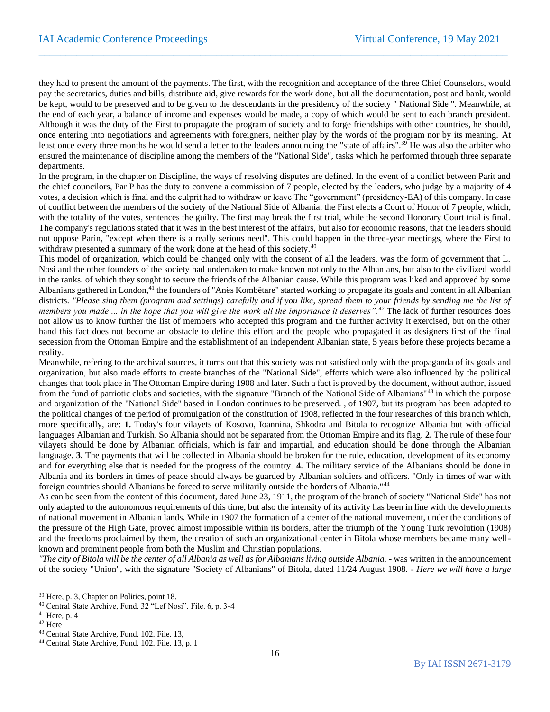they had to present the amount of the payments. The first, with the recognition and acceptance of the three Chief Counselors, would pay the secretaries, duties and bills, distribute aid, give rewards for the work done, but all the documentation, post and bank, would be kept, would to be preserved and to be given to the descendants in the presidency of the society " National Side ". Meanwhile, at the end of each year, a balance of income and expenses would be made, a copy of which would be sent to each branch president. Although it was the duty of the First to propagate the program of society and to forge friendships with other countries, he should, once entering into negotiations and agreements with foreigners, neither play by the words of the program nor by its meaning. At least once every three months he would send a letter to the leaders announcing the "state of affairs".<sup>39</sup> He was also the arbiter who ensured the maintenance of discipline among the members of the "National Side", tasks which he performed through three separate departments.

 $\_$  , and the set of the set of the set of the set of the set of the set of the set of the set of the set of the set of the set of the set of the set of the set of the set of the set of the set of the set of the set of th

In the program, in the chapter on Discipline, the ways of resolving disputes are defined. In the event of a conflict between Parit and the chief councilors, Par P has the duty to convene a commission of 7 people, elected by the leaders, who judge by a majority of 4 votes, a decision which is final and the culprit had to withdraw or leave The "government" (presidency-EA) of this company. In case of conflict between the members of the society of the National Side of Albania, the First elects a Court of Honor of 7 people, which, with the totality of the votes, sentences the guilty. The first may break the first trial, while the second Honorary Court trial is final. The company's regulations stated that it was in the best interest of the affairs, but also for economic reasons, that the leaders should not oppose Parin, "except when there is a really serious need". This could happen in the three-year meetings, where the First to withdraw presented a summary of the work done at the head of this society.<sup>40</sup>

This model of organization, which could be changed only with the consent of all the leaders, was the form of government that L. Nosi and the other founders of the society had undertaken to make known not only to the Albanians, but also to the civilized world in the ranks. of which they sought to secure the friends of the Albanian cause. While this program was liked and approved by some Albanians gathered in London,<sup>41</sup> the founders of "Anës Kombëtare" started working to propagate its goals and content in all Albanian districts. *"Please sing them (program and settings) carefully and if you like, spread them to your friends by sending me the list of members you made ... in the hope that you will give the work all the importance it deserves".<sup>42</sup>* The lack of further resources does not allow us to know further the list of members who accepted this program and the further activity it exercised, but on the other hand this fact does not become an obstacle to define this effort and the people who propagated it as designers first of the final secession from the Ottoman Empire and the establishment of an independent Albanian state, 5 years before these projects became a reality.

Meanwhile, refering to the archival sources, it turns out that this society was not satisfied only with the propaganda of its goals and organization, but also made efforts to create branches of the "National Side", efforts which were also influenced by the political changes that took place in The Ottoman Empire during 1908 and later. Such a fact is proved by the document, without author, issued from the fund of patriotic clubs and societies, with the signature "Branch of the National Side of Albanians"<sup>43</sup> in which the purpose and organization of the "National Side" based in London continues to be preserved. , of 1907, but its program has been adapted to the political changes of the period of promulgation of the constitution of 1908, reflected in the four researches of this branch which, more specifically, are: **1.** Today's four vilayets of Kosovo, Ioannina, Shkodra and Bitola to recognize Albania but with official languages Albanian and Turkish. So Albania should not be separated from the Ottoman Empire and its flag. **2.** The rule of these four vilayets should be done by Albanian officials, which is fair and impartial, and education should be done through the Albanian language. **3.** The payments that will be collected in Albania should be broken for the rule, education, development of its economy and for everything else that is needed for the progress of the country. **4.** The military service of the Albanians should be done in Albania and its borders in times of peace should always be guarded by Albanian soldiers and officers. "Only in times of war with foreign countries should Albanians be forced to serve militarily outside the borders of Albania."<sup>44</sup>

As can be seen from the content of this document, dated June 23, 1911, the program of the branch of society "National Side" has not only adapted to the autonomous requirements of this time, but also the intensity of its activity has been in line with the developments of national movement in Albanian lands. While in 1907 the formation of a center of the national movement, under the conditions of the pressure of the High Gate, proved almost impossible within its borders, after the triumph of the Young Turk revolution (1908) and the freedoms proclaimed by them, the creation of such an organizational center in Bitola whose members became many wellknown and prominent people from both the Muslim and Christian populations.

*"The city of Bitola will be the center of all Albania as well as for Albanians living outside Albania.* - was written in the announcement of the society "Union", with the signature "Society of Albanians" of Bitola, dated 11/24 August 1908. - *Here we will have a large* 

<sup>39</sup> Here, p. 3, Chapter on Politics, point 18.

<sup>40</sup> Central State Archive, Fund. 32 "Lef Nosi". File. 6, p. 3-4

 $41$  Here, p. 4

<sup>42</sup> Here

<sup>43</sup> Central State Archive, Fund. 102. File. 13,

<sup>44</sup> Central State Archive, Fund. 102. File. 13, p. 1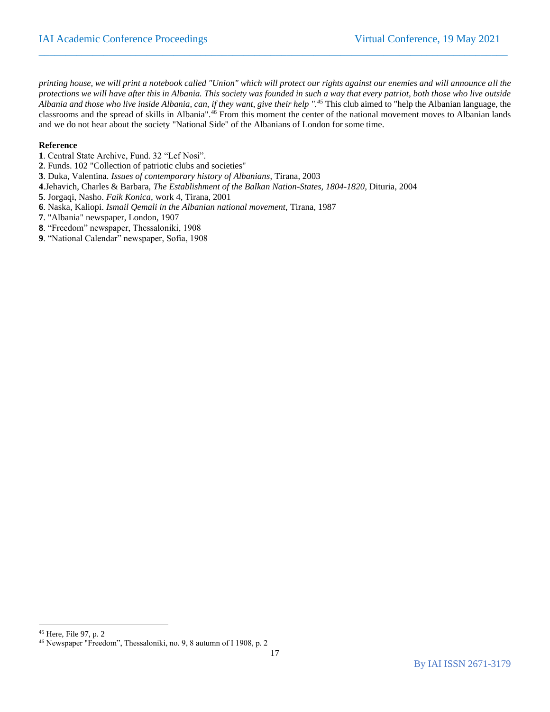*printing house, we will print a notebook called "Union" which will protect our rights against our enemies and will announce all the protections we will have after this in Albania. This society was founded in such a way that every patriot, both those who live outside Albania and those who live inside Albania, can, if they want, give their help ".<sup>45</sup>* This club aimed to "help the Albanian language, the classrooms and the spread of skills in Albania".<sup>46</sup> From this moment the center of the national movement moves to Albanian lands and we do not hear about the society "National Side" of the Albanians of London for some time.

 $\_$  , and the set of the set of the set of the set of the set of the set of the set of the set of the set of the set of the set of the set of the set of the set of the set of the set of the set of the set of the set of th

#### **Reference**

- **1**. Central State Archive, Fund. 32 "Lef Nosi".
- **2**. Funds. 102 "Collection of patriotic clubs and societies"
- **3**. Duka, Valentina. *Issues of contemporary history of Albanians*, Tirana, 2003
- **4**.Jehavich, Charles & Barbara, *The Establishment of the Balkan Nation-States, 1804-1820,* Dituria, 2004
- **5**. Jorgaqi, Nasho. *Faik Konica,* work 4, Tirana, 2001
- **6**. Naska, Kaliopi. *Ismail Qemali in the Albanian national movement,* Tirana, 1987
- **7**. "Albania" newspaper, London, 1907
- **8**. "Freedom" newspaper, Thessaloniki, 1908
- **9**. "National Calendar" newspaper, Sofia, 1908

<sup>45</sup> Here, File 97, p. 2

<sup>46</sup> Newspaper "Freedom", Thessaloniki, no. 9, 8 autumn of I 1908, p. 2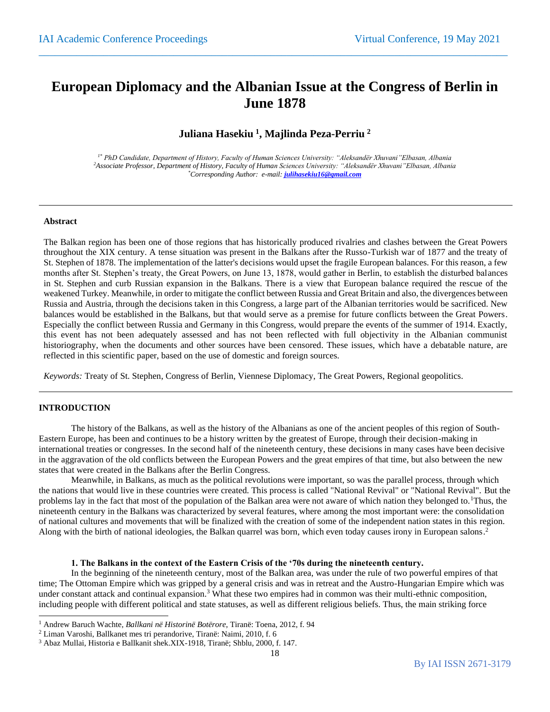## **European Diplomacy and the Albanian Issue at the Congress of Berlin in June 1878**

 $\_$  , and the set of the set of the set of the set of the set of the set of the set of the set of the set of the set of the set of the set of the set of the set of the set of the set of the set of the set of the set of th

## **Juliana Hasekiu <sup>1</sup> , Majlinda Peza-Perriu <sup>2</sup>**

*1\* PhD Candidate, Department of History, Faculty of Human Sciences University: "Aleksandër Xhuvani"Elbasan, Albania <sup>2</sup>Associate Professor, Department of History, Faculty of Human Sciences University: "Aleksandër Xhuvani"Elbasan, Albania \*Corresponding Author: e-mail: [julihasekiu16@gmail.com](mailto:julihasekiu16@gmail.com)*

#### **Abstract**

The Balkan region has been one of those regions that has historically produced rivalries and clashes between the Great Powers throughout the XIX century. A tense situation was present in the Balkans after the Russo-Turkish war of 1877 and the treaty of St. Stephen of 1878. The implementation of the latter's decisions would upset the fragile European balances. For this reason, a few months after St. Stephen's treaty, the Great Powers, on June 13, 1878, would gather in Berlin, to establish the disturbed balances in St. Stephen and curb Russian expansion in the Balkans. There is a view that European balance required the rescue of the weakened Turkey. Meanwhile, in order to mitigate the conflict between Russia and Great Britain and also, the divergences between Russia and Austria, through the decisions taken in this Congress, a large part of the Albanian territories would be sacrificed. New balances would be established in the Balkans, but that would serve as a premise for future conflicts between the Great Powers. Especially the conflict between Russia and Germany in this Congress, would prepare the events of the summer of 1914. Exactly, this event has not been adequately assessed and has not been reflected with full objectivity in the Albanian communist historiography, when the documents and other sources have been censored. These issues, which have a debatable nature, are reflected in this scientific paper, based on the use of domestic and foreign sources.

*Keywords:* Treaty of St. Stephen, Congress of Berlin, Viennese Diplomacy, The Great Powers, Regional geopolitics.

#### **INTRODUCTION**

The history of the Balkans, as well as the history of the Albanians as one of the ancient peoples of this region of South-Eastern Europe, has been and continues to be a history written by the greatest of Europe, through their decision-making in international treaties or congresses. In the second half of the nineteenth century, these decisions in many cases have been decisive in the aggravation of the old conflicts between the European Powers and the great empires of that time, but also between the new states that were created in the Balkans after the Berlin Congress.

Meanwhile, in Balkans, as much as the political revolutions were important, so was the parallel process, through which the nations that would live in these countries were created. This process is called "National Revival" or "National Revival". But the problems lay in the fact that most of the population of the Balkan area were not aware of which nation they belonged to.<sup>1</sup>Thus, the nineteenth century in the Balkans was characterized by several features, where among the most important were: the consolidation of national cultures and movements that will be finalized with the creation of some of the independent nation states in this region. Along with the birth of national ideologies, the Balkan quarrel was born, which even today causes irony in European salons.<sup>2</sup>

#### **1. The Balkans in the context of the Eastern Crisis of the '70s during the nineteenth century.**

In the beginning of the nineteenth century, most of the Balkan area, was under the rule of two powerful empires of that time; The Ottoman Empire which was gripped by a general crisis and was in retreat and the Austro-Hungarian Empire which was under constant attack and continual expansion.<sup>3</sup> What these two empires had in common was their multi-ethnic composition, including people with different political and state statuses, as well as different religious beliefs. Thus, the main striking force

<sup>1</sup> Andrew Baruch Wachte, *Ballkani në Historinë Botërore*, Tiranë: Toena, 2012, f. 94

<sup>2</sup> Liman Varoshi, Ballkanet mes tri perandorive, Tiranë: Naimi, 2010, f. 6

<sup>3</sup> Abaz Mullai, Historia e Ballkanit shek.XIX-1918, Tiranë; Shblu, 2000, f. 147.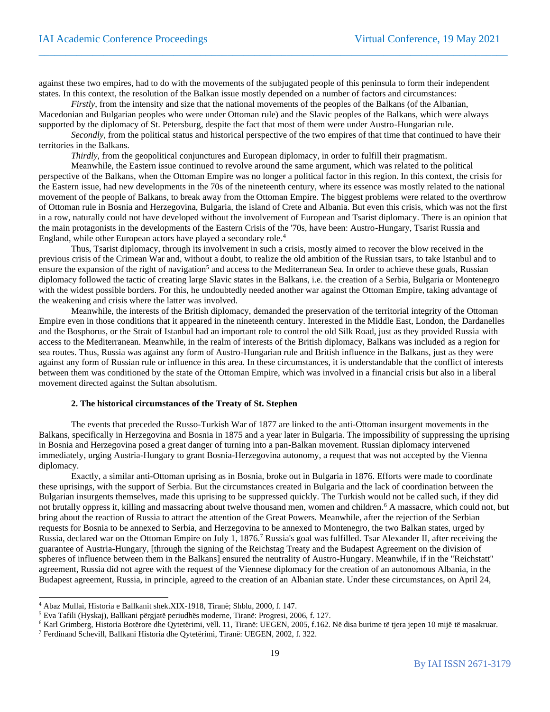against these two empires, had to do with the movements of the subjugated people of this peninsula to form their independent states. In this context, the resolution of the Balkan issue mostly depended on a number of factors and circumstances:

 $\_$  , and the set of the set of the set of the set of the set of the set of the set of the set of the set of the set of the set of the set of the set of the set of the set of the set of the set of the set of the set of th

*Firstly*, from the intensity and size that the national movements of the peoples of the Balkans (of the Albanian, Macedonian and Bulgarian peoples who were under Ottoman rule) and the Slavic peoples of the Balkans, which were always supported by the diplomacy of St. Petersburg, despite the fact that most of them were under Austro-Hungarian rule.

*Secondly*, from the political status and historical perspective of the two empires of that time that continued to have their territories in the Balkans.

*Thirdly*, from the geopolitical conjunctures and European diplomacy, in order to fulfill their pragmatism.

Meanwhile, the Eastern issue continued to revolve around the same argument, which was related to the political perspective of the Balkans, when the Ottoman Empire was no longer a political factor in this region. In this context, the crisis for the Eastern issue, had new developments in the 70s of the nineteenth century, where its essence was mostly related to the national movement of the people of Balkans, to break away from the Ottoman Empire. The biggest problems were related to the overthrow of Ottoman rule in Bosnia and Herzegovina, Bulgaria, the island of Crete and Albania. But even this crisis, which was not the first in a row, naturally could not have developed without the involvement of European and Tsarist diplomacy. There is an opinion that the main protagonists in the developments of the Eastern Crisis of the '70s, have been: Austro-Hungary, Tsarist Russia and England, while other European actors have played a secondary role.<sup>4</sup>

Thus, Tsarist diplomacy, through its involvement in such a crisis, mostly aimed to recover the blow received in the previous crisis of the Crimean War and, without a doubt, to realize the old ambition of the Russian tsars, to take Istanbul and to ensure the expansion of the right of navigation<sup>5</sup> and access to the Mediterranean Sea. In order to achieve these goals, Russian diplomacy followed the tactic of creating large Slavic states in the Balkans, i.e. the creation of a Serbia, Bulgaria or Montenegro with the widest possible borders. For this, he undoubtedly needed another war against the Ottoman Empire, taking advantage of the weakening and crisis where the latter was involved.

Meanwhile, the interests of the British diplomacy, demanded the preservation of the territorial integrity of the Ottoman Empire even in those conditions that it appeared in the nineteenth century. Interested in the Middle East, London, the Dardanelles and the Bosphorus, or the Strait of Istanbul had an important role to control the old Silk Road, just as they provided Russia with access to the Mediterranean. Meanwhile, in the realm of interests of the British diplomacy, Balkans was included as a region for sea routes. Thus, Russia was against any form of Austro-Hungarian rule and British influence in the Balkans, just as they were against any form of Russian rule or influence in this area. In these circumstances, it is understandable that the conflict of interests between them was conditioned by the state of the Ottoman Empire, which was involved in a financial crisis but also in a liberal movement directed against the Sultan absolutism.

#### **2. The historical circumstances of the Treaty of St. Stephen**

The events that preceded the Russo-Turkish War of 1877 are linked to the anti-Ottoman insurgent movements in the Balkans, specifically in Herzegovina and Bosnia in 1875 and a year later in Bulgaria. The impossibility of suppressing the uprising in Bosnia and Herzegovina posed a great danger of turning into a pan-Balkan movement. Russian diplomacy intervened immediately, urging Austria-Hungary to grant Bosnia-Herzegovina autonomy, a request that was not accepted by the Vienna diplomacy.

Exactly, a similar anti-Ottoman uprising as in Bosnia, broke out in Bulgaria in 1876. Efforts were made to coordinate these uprisings, with the support of Serbia. But the circumstances created in Bulgaria and the lack of coordination between the Bulgarian insurgents themselves, made this uprising to be suppressed quickly. The Turkish would not be called such, if they did not brutally oppress it, killing and massacring about twelve thousand men, women and children.<sup>6</sup> A massacre, which could not, but bring about the reaction of Russia to attract the attention of the Great Powers. Meanwhile, after the rejection of the Serbian requests for Bosnia to be annexed to Serbia, and Herzegovina to be annexed to Montenegro, the two Balkan states, urged by Russia, declared war on the Ottoman Empire on July 1, 1876.<sup>7</sup> Russia's goal was fulfilled. Tsar Alexander II, after receiving the guarantee of Austria-Hungary, [through the signing of the Reichstag Treaty and the Budapest Agreement on the division of spheres of influence between them in the Balkans] ensured the neutrality of Austro-Hungary. Meanwhile, if in the "Reichstatt" agreement, Russia did not agree with the request of the Viennese diplomacy for the creation of an autonomous Albania, in the Budapest agreement, Russia, in principle, agreed to the creation of an Albanian state. Under these circumstances, on April 24,

<sup>4</sup> Abaz Mullai, Historia e Ballkanit shek.XIX-1918, Tiranë; Shblu, 2000, f. 147.

<sup>5</sup> Eva Tafili (Hyskaj), Ballkani përgjatë periudhës moderne, Tiranë: Progresi, 2006, f. 127.

 $6$  Karl Grimberg, Historia Botërore dhe Oytetërimi, vëll. 11, Tiranë: UEGEN, 2005, f.162. Në disa burime të tjera jepen 10 mijë të masakruar.

<sup>7</sup> Ferdinand Schevill, Ballkani Historia dhe Qytetërimi, Tiranë: UEGEN, 2002, f. 322.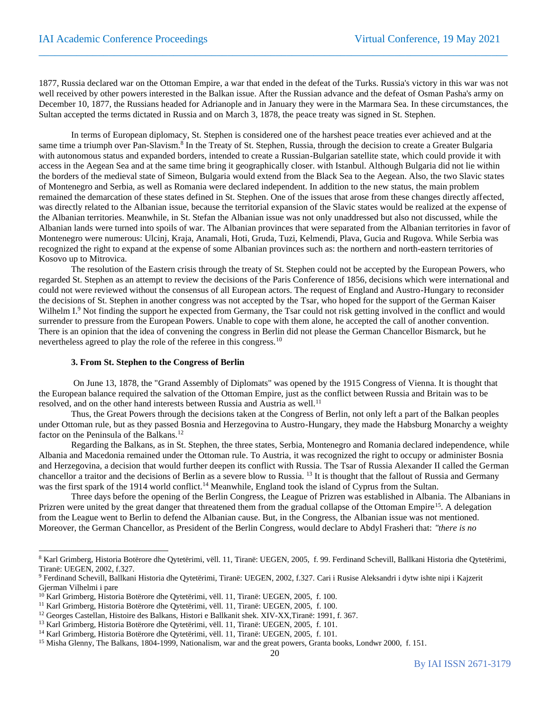1877, Russia declared war on the Ottoman Empire, a war that ended in the defeat of the Turks. Russia's victory in this war was not well received by other powers interested in the Balkan issue. After the Russian advance and the defeat of Osman Pasha's army on December 10, 1877, the Russians headed for Adrianople and in January they were in the Marmara Sea. In these circumstances, the Sultan accepted the terms dictated in Russia and on March 3, 1878, the peace treaty was signed in St. Stephen.

 $\_$  , and the set of the set of the set of the set of the set of the set of the set of the set of the set of the set of the set of the set of the set of the set of the set of the set of the set of the set of the set of th

In terms of European diplomacy, St. Stephen is considered one of the harshest peace treaties ever achieved and at the same time a triumph over Pan-Slavism.<sup>8</sup> In the Treaty of St. Stephen, Russia, through the decision to create a Greater Bulgaria with autonomous status and expanded borders, intended to create a Russian-Bulgarian satellite state, which could provide it with access in the Aegean Sea and at the same time bring it geographically closer. with Istanbul. Although Bulgaria did not lie within the borders of the medieval state of Simeon, Bulgaria would extend from the Black Sea to the Aegean. Also, the two Slavic states of Montenegro and Serbia, as well as Romania were declared independent. In addition to the new status, the main problem remained the demarcation of these states defined in St. Stephen. One of the issues that arose from these changes directly affected, was directly related to the Albanian issue, because the territorial expansion of the Slavic states would be realized at the expense of the Albanian territories. Meanwhile, in St. Stefan the Albanian issue was not only unaddressed but also not discussed, while the Albanian lands were turned into spoils of war. The Albanian provinces that were separated from the Albanian territories in favor of Montenegro were numerous: Ulcinj, Kraja, Anamali, Hoti, Gruda, Tuzi, Kelmendi, Plava, Gucia and Rugova. While Serbia was recognized the right to expand at the expense of some Albanian provinces such as: the northern and north-eastern territories of Kosovo up to Mitrovica.

The resolution of the Eastern crisis through the treaty of St. Stephen could not be accepted by the European Powers, who regarded St. Stephen as an attempt to review the decisions of the Paris Conference of 1856, decisions which were international and could not were reviewed without the consensus of all European actors. The request of England and Austro-Hungary to reconsider the decisions of St. Stephen in another congress was not accepted by the Tsar, who hoped for the support of the German Kaiser Wilhelm I.<sup>9</sup> Not finding the support he expected from Germany, the Tsar could not risk getting involved in the conflict and would surrender to pressure from the European Powers. Unable to cope with them alone, he accepted the call of another convention. There is an opinion that the idea of convening the congress in Berlin did not please the German Chancellor Bismarck, but he nevertheless agreed to play the role of the referee in this congress.<sup>10</sup>

#### **3. From St. Stephen to the Congress of Berlin**

On June 13, 1878, the "Grand Assembly of Diplomats" was opened by the 1915 Congress of Vienna. It is thought that the European balance required the salvation of the Ottoman Empire, just as the conflict between Russia and Britain was to be resolved, and on the other hand interests between Russia and Austria as well.<sup>11</sup>

Thus, the Great Powers through the decisions taken at the Congress of Berlin, not only left a part of the Balkan peoples under Ottoman rule, but as they passed Bosnia and Herzegovina to Austro-Hungary, they made the Habsburg Monarchy a weighty factor on the Peninsula of the Balkans.<sup>12</sup>

Regarding the Balkans, as in St. Stephen, the three states, Serbia, Montenegro and Romania declared independence, while Albania and Macedonia remained under the Ottoman rule. To Austria, it was recognized the right to occupy or administer Bosnia and Herzegovina, a decision that would further deepen its conflict with Russia. The Tsar of Russia Alexander II called the German chancellor a traitor and the decisions of Berlin as a severe blow to Russia. <sup>13</sup> It is thought that the fallout of Russia and Germany was the first spark of the 1914 world conflict.<sup>14</sup> Meanwhile, England took the island of Cyprus from the Sultan.

Three days before the opening of the Berlin Congress, the League of Prizren was established in Albania. The Albanians in Prizren were united by the great danger that threatened them from the gradual collapse of the Ottoman Empire<sup>15</sup>. A delegation from the League went to Berlin to defend the Albanian cause. But, in the Congress, the Albanian issue was not mentioned. Moreover, the German Chancellor, as President of the Berlin Congress, would declare to Abdyl Frasheri that: *"there is no* 

<sup>&</sup>lt;sup>8</sup> Karl Grimberg, Historia Botërore dhe Qytetërimi, vëll. 11, Tiranë: UEGEN, 2005, f. 99. Ferdinand Schevill, Ballkani Historia dhe Qytetërimi, Tiranë: UEGEN, 2002, f.327.

<sup>9</sup> Ferdinand Schevill, Ballkani Historia dhe Qytetërimi, Tiranë: UEGEN, 2002, f.327. Cari i Rusise Aleksandri i dytw ishte nipi i Kajzerit Gjerman Vilhelmi i pare

<sup>10</sup> Karl Grimberg, Historia Botërore dhe Qytetërimi, vëll. 11, Tiranë: UEGEN, 2005, f. 100.

<sup>11</sup> Karl Grimberg, Historia Botërore dhe Qytetërimi, vëll. 11, Tiranë: UEGEN, 2005, f. 100.

<sup>12</sup> Georges Castellan, Histoire des Balkans, Histori e Ballkanit shek. XIV-XX,Tiranë: 1991, f. 367.

<sup>13</sup> Karl Grimberg, Historia Botërore dhe Qytetërimi, vëll. 11, Tiranë: UEGEN, 2005, f. 101.

<sup>14</sup> Karl Grimberg, Historia Botërore dhe Qytetërimi, vëll. 11, Tiranë: UEGEN, 2005, f. 101.

<sup>&</sup>lt;sup>15</sup> Misha Glenny, The Balkans, 1804-1999, Nationalism, war and the great powers, Granta books, Londwr 2000, f. 151.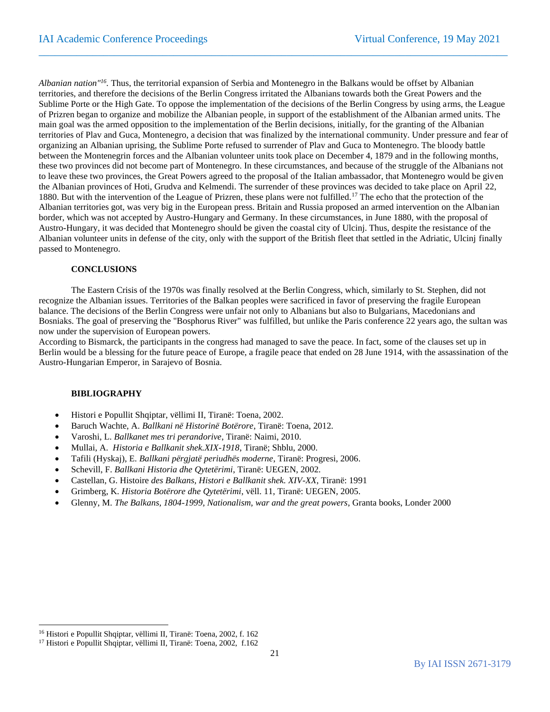*Albanian nation"<sup>16</sup> .* Thus, the territorial expansion of Serbia and Montenegro in the Balkans would be offset by Albanian territories, and therefore the decisions of the Berlin Congress irritated the Albanians towards both the Great Powers and the Sublime Porte or the High Gate. To oppose the implementation of the decisions of the Berlin Congress by using arms, the League of Prizren began to organize and mobilize the Albanian people, in support of the establishment of the Albanian armed units. The main goal was the armed opposition to the implementation of the Berlin decisions, initially, for the granting of the Albanian territories of Plav and Guca, Montenegro, a decision that was finalized by the international community. Under pressure and fear of organizing an Albanian uprising, the Sublime Porte refused to surrender of Plav and Guca to Montenegro. The bloody battle between the Montenegrin forces and the Albanian volunteer units took place on December 4, 1879 and in the following months, these two provinces did not become part of Montenegro. In these circumstances, and because of the struggle of the Albanians not to leave these two provinces, the Great Powers agreed to the proposal of the Italian ambassador, that Montenegro would be given the Albanian provinces of Hoti, Grudva and Kelmendi. The surrender of these provinces was decided to take place on April 22, 1880. But with the intervention of the League of Prizren, these plans were not fulfilled.<sup>17</sup> The echo that the protection of the Albanian territories got, was very big in the European press. Britain and Russia proposed an armed intervention on the Albanian border, which was not accepted by Austro-Hungary and Germany. In these circumstances, in June 1880, with the proposal of Austro-Hungary, it was decided that Montenegro should be given the coastal city of Ulcinj. Thus, despite the resistance of the Albanian volunteer units in defense of the city, only with the support of the British fleet that settled in the Adriatic, Ulcinj finally passed to Montenegro.

 $\_$  , and the set of the set of the set of the set of the set of the set of the set of the set of the set of the set of the set of the set of the set of the set of the set of the set of the set of the set of the set of th

#### **CONCLUSIONS**

The Eastern Crisis of the 1970s was finally resolved at the Berlin Congress, which, similarly to St. Stephen, did not recognize the Albanian issues. Territories of the Balkan peoples were sacrificed in favor of preserving the fragile European balance. The decisions of the Berlin Congress were unfair not only to Albanians but also to Bulgarians, Macedonians and Bosniaks. The goal of preserving the "Bosphorus River" was fulfilled, but unlike the Paris conference 22 years ago, the sultan was now under the supervision of European powers.

According to Bismarck, the participants in the congress had managed to save the peace. In fact, some of the clauses set up in Berlin would be a blessing for the future peace of Europe, a fragile peace that ended on 28 June 1914, with the assassination of the Austro-Hungarian Emperor, in Sarajevo of Bosnia.

#### **BIBLIOGRAPHY**

- Histori e Popullit Shqiptar, vëllimi II, Tiranë: Toena, 2002.
- Baruch Wachte, A. *Ballkani në Historinë Botërore*, Tiranë: Toena, 2012.
- Varoshi, L. *Ballkanet mes tri perandorive*, Tiranë: Naimi, 2010.
- Mullai, A. *Historia e Ballkanit shek.XIX-1918*, Tiranë; Shblu, 2000.
- Tafili (Hyskaj), E. *Ballkani përgjatë periudhës moderne*, Tiranë: Progresi, 2006.
- Schevill, F. *Ballkani Historia dhe Qytetërimi*, Tiranë: UEGEN, 2002.
- Castellan, G. Histoire *des Balkans, Histori e Ballkanit shek. XIV-XX*, Tiranë: 1991
- Grimberg, K. *Historia Botërore dhe Qytetërimi*, vëll. 11, Tiranë: UEGEN, 2005.
- Glenny, M. *The Balkans, 1804-1999, Nationalism, war and the great powers*, Granta books, Londer 2000

<sup>16</sup> Histori e Popullit Shqiptar, vëllimi II, Tiranë: Toena, 2002, f. 162

<sup>&</sup>lt;sup>17</sup> Histori e Popullit Shqiptar, vëllimi II, Tiranë: Toena, 2002, f.162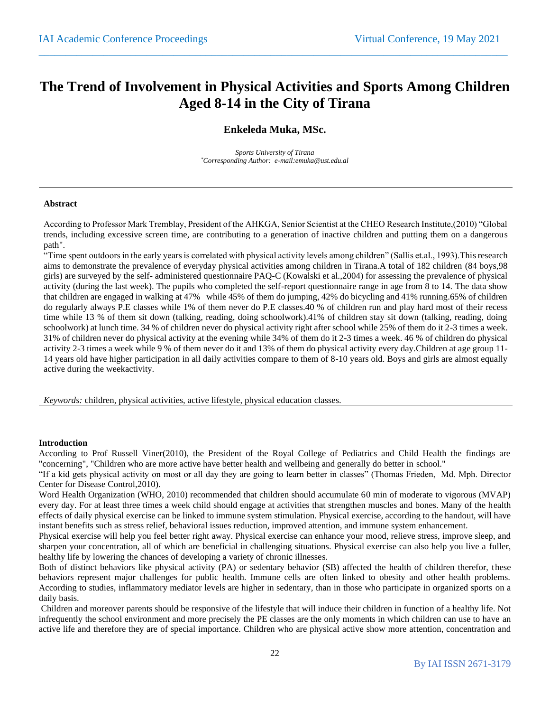## **The Trend of Involvement in Physical Activities and Sports Among Children Aged 8-14 in the City of Tirana**

 $\_$  , and the set of the set of the set of the set of the set of the set of the set of the set of the set of the set of the set of the set of the set of the set of the set of the set of the set of the set of the set of th

### **Enkeleda Muka, MSc.**

*Sports University of Tirana \*Corresponding Author: e-mail:emuka@ust.edu.al*

#### **Abstract**

According to Professor Mark Tremblay, President of the AHKGA, Senior Scientist at the CHEO Research Institute,(2010) "Global trends, including excessive screen time, are contributing to a generation of inactive children and putting them on a dangerous path".

"Time spent outdoors in the early years is correlated with physical activity levels among children" (Sallis et.al., 1993).This research aims to demonstrate the prevalence of everyday physical activities among children in Tirana.A total of 182 children (84 boys,98 girls) are surveyed by the self- administered questionnaire PAQ-C (Kowalski et al.,2004) for assessing the prevalence of physical activity (during the last week). The pupils who completed the self-report questionnaire range in age from 8 to 14. The data show that children are engaged in walking at 47% while 45% of them do jumping, 42% do bicycling and 41% running.65% of children do regularly always P.E classes while 1% of them never do P.E classes.40 % of children run and play hard most of their recess time while 13 % of them sit down (talking, reading, doing schoolwork).41% of children stay sit down (talking, reading, doing schoolwork) at lunch time. 34 % of children never do physical activity right after school while 25% of them do it 2-3 times a week. 31% of children never do physical activity at the evening while 34% of them do it 2-3 times a week. 46 % of children do physical activity 2-3 times a week while 9 % of them never do it and 13% of them do physical activity every day.Children at age group 11- 14 years old have higher participation in all daily activities compare to them of 8-10 years old. Boys and girls are almost equally active during the weekactivity.

*Keywords:* children, physical activities, active lifestyle, physical education classes.

#### **Introduction**

According to Prof Russell Viner(2010), the President of the Royal College of Pediatrics and Child Health the findings are "concerning", "Children who are more active have better health and wellbeing and generally do better in school."

"If a kid gets physical activity on most or all day they are going to learn better in classes" (Thomas Frieden, Md. Mph. Director Center for Disease Control,2010).

Word Health Organization (WHO, 2010) recommended that children should accumulate 60 min of moderate to vigorous (MVAP) every day. For at least three times a week child should engage at activities that strengthen muscles and bones. Many of the health effects of daily physical exercise can be linked to immune system stimulation. Physical exercise, according to the handout, will have instant benefits such as stress relief, behavioral issues reduction, improved attention, and immune system enhancement.

Physical exercise will help you feel better right away. Physical exercise can enhance your mood, relieve stress, improve sleep, and sharpen your concentration, all of which are beneficial in challenging situations. Physical exercise can also help you live a fuller, healthy life by lowering the chances of developing a variety of chronic illnesses.

Both of distinct behaviors like physical activity (PA) or sedentary behavior (SB) affected the health of children therefor, these behaviors represent major challenges for public health. Immune cells are often linked to obesity and other health problems. According to studies, inflammatory mediator levels are higher in sedentary, than in those who participate in organized sports on a daily basis.

Children and moreover parents should be responsive of the lifestyle that will induce their children in function of a healthy life. Not infrequently the school environment and more precisely the PE classes are the only moments in which children can use to have an active life and therefore they are of special importance. Children who are physical active show more attention, concentration and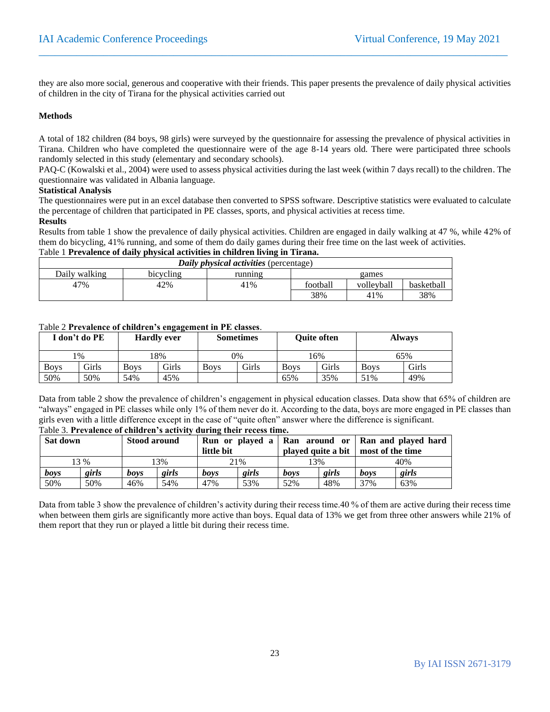they are also more social, generous and cooperative with their friends. This paper presents the prevalence of daily physical activities of children in the city of Tirana for the physical activities carried out

 $\_$  , and the set of the set of the set of the set of the set of the set of the set of the set of the set of the set of the set of the set of the set of the set of the set of the set of the set of the set of the set of th

#### **Methods**

A total of 182 children (84 boys, 98 girls) were surveyed by the questionnaire for assessing the prevalence of physical activities in Tirana. Children who have completed the questionnaire were of the age 8-14 years old. There were participated three schools randomly selected in this study (elementary and secondary schools).

PAQ-C (Kowalski et al., 2004) were used to assess physical activities during the last week (within 7 days recall) to the children. The questionnaire was validated in Albania language.

#### **Statistical Analysis**

The questionnaires were put in an excel database then converted to SPSS software. Descriptive statistics were evaluated to calculate the percentage of children that participated in PE classes, sports, and physical activities at recess time.

#### **Results**

Results from table 1 show the prevalence of daily physical activities. Children are engaged in daily walking at 47 %, while 42% of them do bicycling, 41% running, and some of them do daily games during their free time on the last week of activities.

## Table 1 **Prevalence of daily physical activities in children living in Tirana.**

| Daily <i>physical activities</i> (percentage)  |     |     |          |            |            |  |  |  |  |  |
|------------------------------------------------|-----|-----|----------|------------|------------|--|--|--|--|--|
| Dailv walking<br>bicycling<br>running<br>games |     |     |          |            |            |  |  |  |  |  |
| 47%                                            | 42% | 41% | football | volleyball | basketball |  |  |  |  |  |
|                                                |     |     | 38%      | 41%        | 38%        |  |  |  |  |  |

#### Table 2 **Prevalence of children's engagement in PE classes**.

|             | [ don't do PE- |             | $\cdots$<br><b>Hardly ever</b> |             | <b>Sometimes</b> | <b>Ouite often</b> |       |             | <b>Always</b> |
|-------------|----------------|-------------|--------------------------------|-------------|------------------|--------------------|-------|-------------|---------------|
|             | $1\%$          |             | 8%                             | 0%          |                  |                    | 16%   | 65%         |               |
| <b>Boys</b> | <b>Girls</b>   | <b>Boys</b> | Girls                          | <b>Boys</b> | Girls            | <b>Boys</b>        | Girls | <b>Boys</b> | Girls         |
| 50%         | 50%            | 54%         | 45%                            |             |                  | 65%                | 35%   | 51%         | 49%           |

Data from table 2 show the prevalence of children's engagement in physical education classes. Data show that 65% of children are "always" engaged in PE classes while only 1% of them never do it. According to the data, boys are more engaged in PE classes than girls even with a little difference except in the case of "quite often" answer where the difference is significant. Table 3. **Prevalence of children's activity during their recess time.**

| Sat down |       | Run or played a   Ran around or   Ran and played hard<br><b>Stood around</b> |       |      |                                  |      |       |                  |       |  |
|----------|-------|------------------------------------------------------------------------------|-------|------|----------------------------------|------|-------|------------------|-------|--|
|          |       |                                                                              |       |      | little bit<br>played quite a bit |      |       | most of the time |       |  |
|          | 13 %  |                                                                              | 13%   |      | 21%                              |      | 13%   |                  | 40%   |  |
| boys     | girls | boys                                                                         | girls | boys | girls                            | boys | girls | boys             | girls |  |
| 50%      | 50%   | 46%                                                                          | 54%   | 47%  | 53%                              | 52%  | 48%   | 37%              | 63%   |  |

Data from table 3 show the prevalence of children's activity during their recess time.40 % of them are active during their recess time when between them girls are significantly more active than boys. Equal data of 13% we get from three other answers while 21% of them report that they run or played a little bit during their recess time.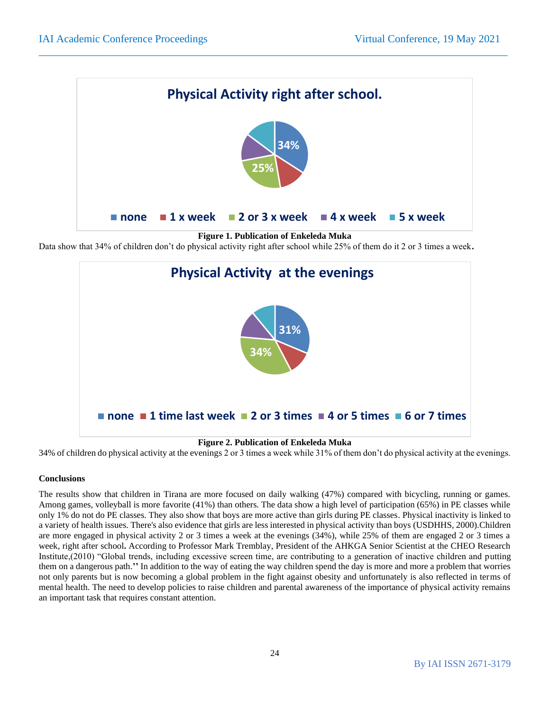

 $\_$  , and the set of the set of the set of the set of the set of the set of the set of the set of the set of the set of the set of the set of the set of the set of the set of the set of the set of the set of the set of th

**Figure 1. Publication of Enkeleda Muka**

Data show that 34% of children don't do physical activity right after school while 25% of them do it 2 or 3 times a week**.**



**Figure 2. Publication of Enkeleda Muka**

34% of children do physical activity at the evenings 2 or 3 times a week while 31% of them don't do physical activity at the evenings.

#### **Conclusions**

The results show that children in Tirana are more focused on daily walking (47%) compared with bicycling, running or games. Among games, volleyball is more favorite (41%) than others. The data show a high level of participation (65%) in PE classes while only 1% do not do PE classes. They also show that boys are more active than girls during PE classes. Physical inactivity is linked to a variety of health issues. There's also evidence that girls are less interested in physical activity than boys (USDHHS, 2000).Children are more engaged in physical activity 2 or 3 times a week at the evenings (34%), while 25% of them are engaged 2 or 3 times a week, right after school**.** According to Professor Mark Tremblay, President of the AHKGA Senior Scientist at the CHEO Research Institute,(2010) "Global trends, including excessive screen time, are contributing to a generation of inactive children and putting them on a dangerous path.**''** In addition to the way of eating the way children spend the day is more and more a problem that worries not only parents but is now becoming a global problem in the fight against obesity and unfortunately is also reflected in terms of mental health. The need to develop policies to raise children and parental awareness of the importance of physical activity remains an important task that requires constant attention.